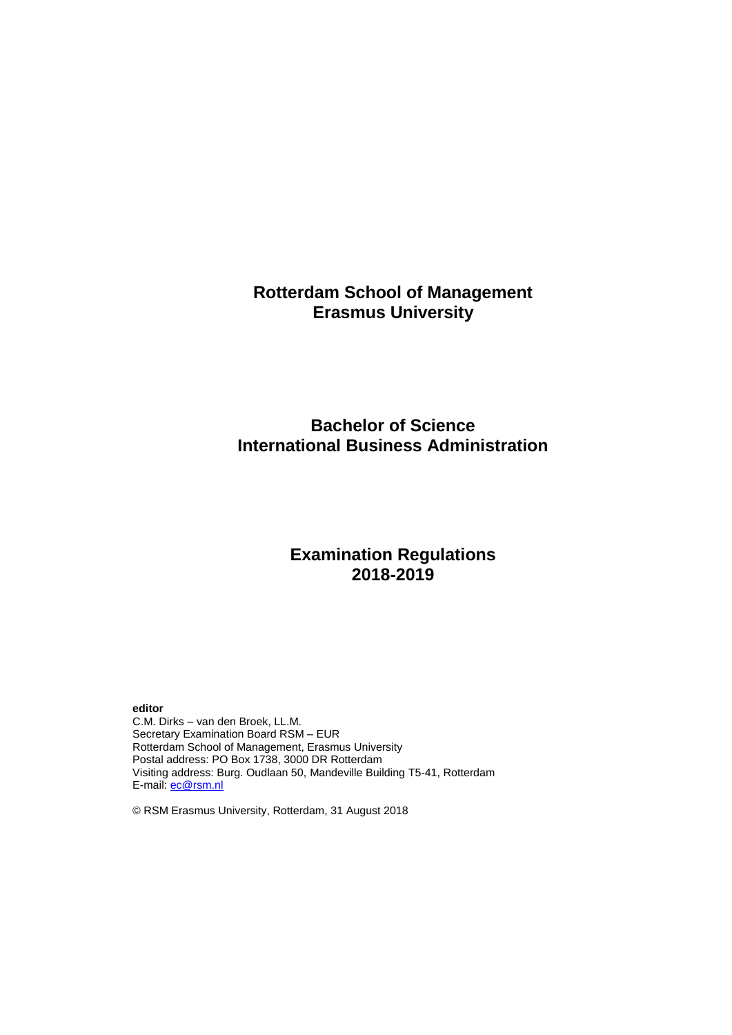# **Rotterdam School of Management Erasmus University**

# **Bachelor of Science International Business Administration**

# **Examination Regulations 2018-2019**

**editor**

C.M. Dirks – van den Broek, LL.M. Secretary Examination Board RSM – EUR Rotterdam School of Management, Erasmus University Postal address: PO Box 1738, 3000 DR Rotterdam Visiting address: Burg. Oudlaan 50, Mandeville Building T5-41, Rotterdam E-mail: [ec@rsm.nl](mailto:ec@rsm.nl)

© RSM Erasmus University, Rotterdam, 31 August 2018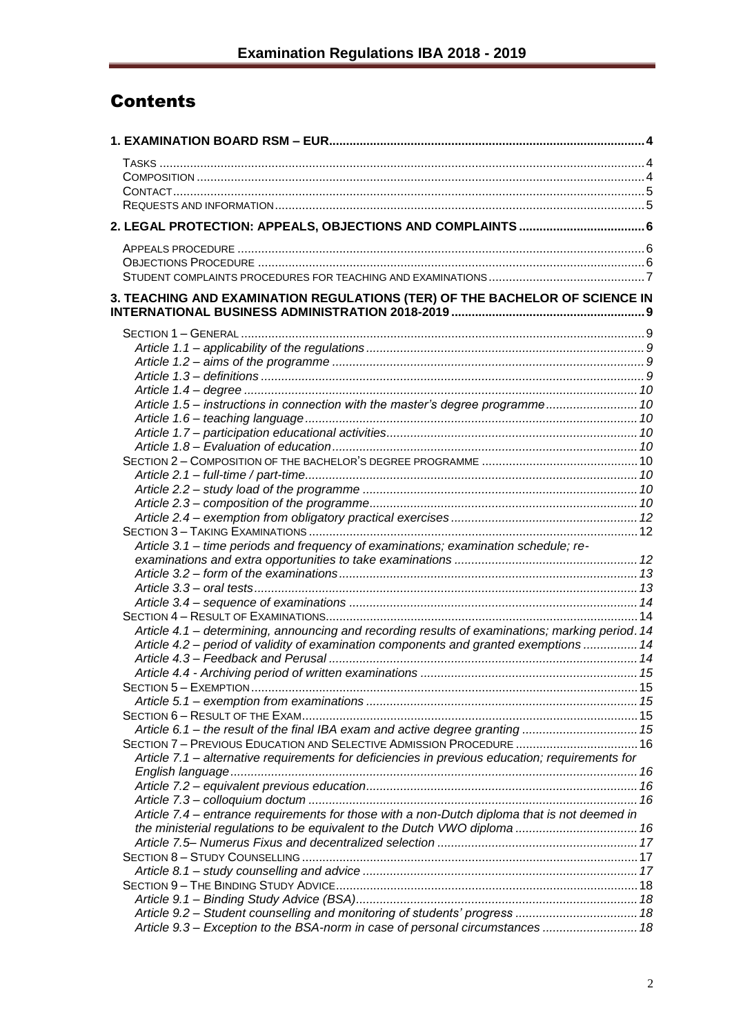# Contents

| 3. TEACHING AND EXAMINATION REGULATIONS (TER) OF THE BACHELOR OF SCIENCE IN                     |  |
|-------------------------------------------------------------------------------------------------|--|
|                                                                                                 |  |
|                                                                                                 |  |
|                                                                                                 |  |
|                                                                                                 |  |
|                                                                                                 |  |
|                                                                                                 |  |
| Article 1.5 - instructions in connection with the master's degree programme 10                  |  |
|                                                                                                 |  |
|                                                                                                 |  |
|                                                                                                 |  |
|                                                                                                 |  |
|                                                                                                 |  |
|                                                                                                 |  |
|                                                                                                 |  |
|                                                                                                 |  |
| Article 3.1 - time periods and frequency of examinations; examination schedule; re-             |  |
|                                                                                                 |  |
|                                                                                                 |  |
|                                                                                                 |  |
|                                                                                                 |  |
|                                                                                                 |  |
| Article 4.1 - determining, announcing and recording results of examinations; marking period. 14 |  |
| Article 4.2 - period of validity of examination components and granted exemptions  14           |  |
|                                                                                                 |  |
|                                                                                                 |  |
|                                                                                                 |  |
|                                                                                                 |  |
|                                                                                                 |  |
| Article 6.1 - the result of the final IBA exam and active degree granting  15                   |  |
| SECTION 7 - PREVIOUS EDUCATION AND SELECTIVE ADMISSION PROCEDURE  16                            |  |
| Article 7.1 - alternative requirements for deficiencies in previous education; requirements for |  |
|                                                                                                 |  |
|                                                                                                 |  |
|                                                                                                 |  |
| Article 7.4 – entrance requirements for those with a non-Dutch diploma that is not deemed in    |  |
| the ministerial regulations to be equivalent to the Dutch VWO diploma  16                       |  |
|                                                                                                 |  |
|                                                                                                 |  |
|                                                                                                 |  |
|                                                                                                 |  |
|                                                                                                 |  |
| Article 9.2 - Student counselling and monitoring of students' progress  18                      |  |
| Article 9.3 - Exception to the BSA-norm in case of personal circumstances  18                   |  |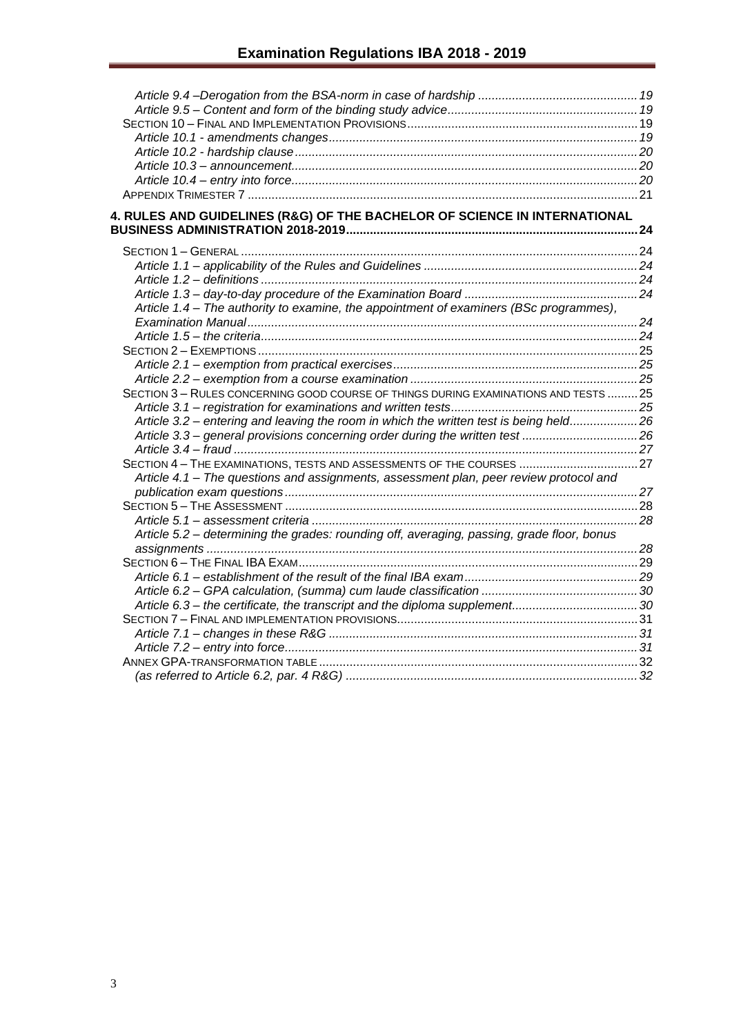| 4. RULES AND GUIDELINES (R&G) OF THE BACHELOR OF SCIENCE IN INTERNATIONAL                  |  |
|--------------------------------------------------------------------------------------------|--|
|                                                                                            |  |
|                                                                                            |  |
|                                                                                            |  |
|                                                                                            |  |
|                                                                                            |  |
| Article 1.4 - The authority to examine, the appointment of examiners (BSc programmes),     |  |
|                                                                                            |  |
|                                                                                            |  |
|                                                                                            |  |
|                                                                                            |  |
|                                                                                            |  |
| SECTION 3 - RULES CONCERNING GOOD COURSE OF THINGS DURING EXAMINATIONS AND TESTS  25       |  |
|                                                                                            |  |
| Article 3.2 - entering and leaving the room in which the written test is being held26      |  |
| Article 3.3 - general provisions concerning order during the written test 26               |  |
|                                                                                            |  |
| SECTION 4 - THE EXAMINATIONS, TESTS AND ASSESSMENTS OF THE COURSES  27                     |  |
| Article 4.1 - The questions and assignments, assessment plan, peer review protocol and     |  |
|                                                                                            |  |
|                                                                                            |  |
|                                                                                            |  |
| Article 5.2 - determining the grades: rounding off, averaging, passing, grade floor, bonus |  |
|                                                                                            |  |
|                                                                                            |  |
|                                                                                            |  |
|                                                                                            |  |
| Article 6.3 – the certificate, the transcript and the diploma supplement30                 |  |
|                                                                                            |  |
|                                                                                            |  |
|                                                                                            |  |
|                                                                                            |  |
|                                                                                            |  |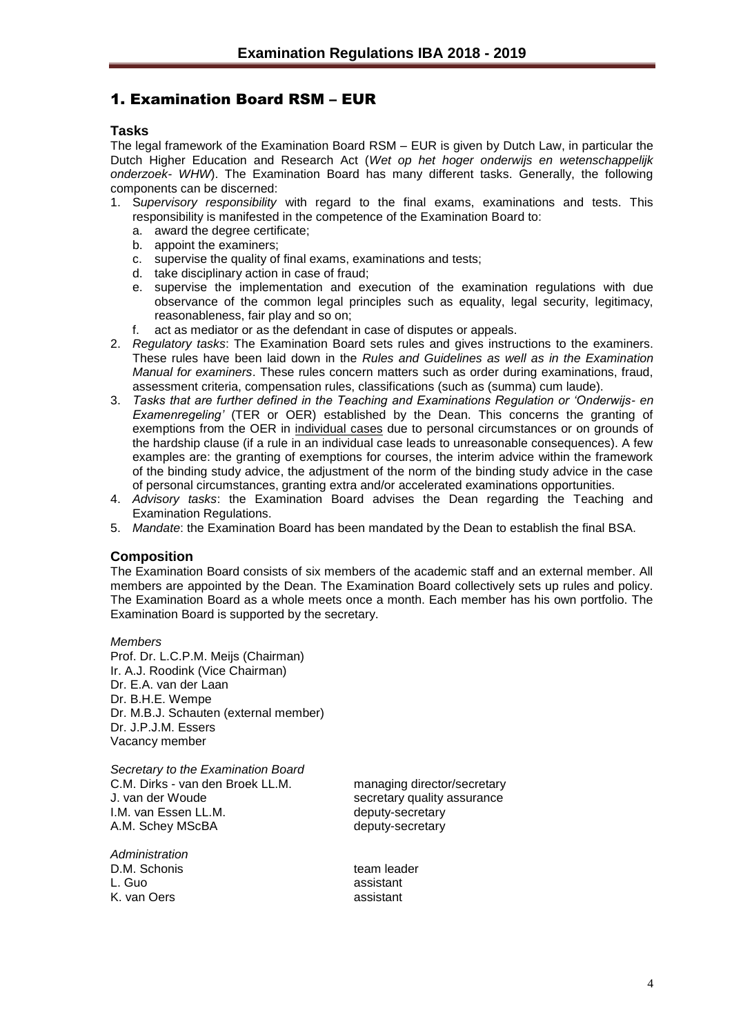## <span id="page-3-0"></span>1. Examination Board RSM – EUR

## <span id="page-3-1"></span>**Tasks**

The legal framework of the Examination Board RSM – EUR is given by Dutch Law, in particular the Dutch Higher Education and Research Act (*Wet op het hoger onderwijs en wetenschappelijk onderzoek- WHW*). The Examination Board has many different tasks. Generally, the following components can be discerned:

- 1. S*upervisory responsibility* with regard to the final exams, examinations and tests. This responsibility is manifested in the competence of the Examination Board to:
	- a. award the degree certificate;
	- b. appoint the examiners;
	- c. supervise the quality of final exams, examinations and tests;
	- d. take disciplinary action in case of fraud;
	- e. supervise the implementation and execution of the examination regulations with due observance of the common legal principles such as equality, legal security, legitimacy, reasonableness, fair play and so on;
	- f. act as mediator or as the defendant in case of disputes or appeals.
- 2. *Regulatory tasks*: The Examination Board sets rules and gives instructions to the examiners. These rules have been laid down in the *Rules and Guidelines as well as in the Examination Manual for examiners*. These rules concern matters such as order during examinations, fraud, assessment criteria, compensation rules, classifications (such as (summa) cum laude).
- 3. *Tasks that are further defined in the Teaching and Examinations Regulation or 'Onderwijs- en Examenregeling'* (TER or OER) established by the Dean. This concerns the granting of exemptions from the OER in individual cases due to personal circumstances or on grounds of the hardship clause (if a rule in an individual case leads to unreasonable consequences). A few examples are: the granting of exemptions for courses, the interim advice within the framework of the binding study advice, the adjustment of the norm of the binding study advice in the case of personal circumstances, granting extra and/or accelerated examinations opportunities.
- 4. *Advisory tasks*: the Examination Board advises the Dean regarding the Teaching and Examination Regulations.
- 5. *Mandate*: the Examination Board has been mandated by the Dean to establish the final BSA.

## <span id="page-3-2"></span>**Composition**

The Examination Board consists of six members of the academic staff and an external member. All members are appointed by the Dean. The Examination Board collectively sets up rules and policy. The Examination Board as a whole meets once a month. Each member has his own portfolio. The Examination Board is supported by the secretary.

*Members* Prof. Dr. L.C.P.M. Meijs (Chairman) Ir. A.J. Roodink (Vice Chairman) Dr. E.A. van der Laan Dr. B.H.E. Wempe Dr. M.B.J. Schauten (external member) Dr. J.P.J.M. Essers Vacancy member

*Secretary to the Examination Board* C.M. Dirks - van den Broek LL.M. managing director/secretary J. van der Woude secretary quality assurance I.M. van Essen LL.M.<br>A.M. Schey MScBA deputy-secretary A.M. Schey MScBA

*Administration* D.M. Schonis external team leader L. Guo assistant K. van Oers assistant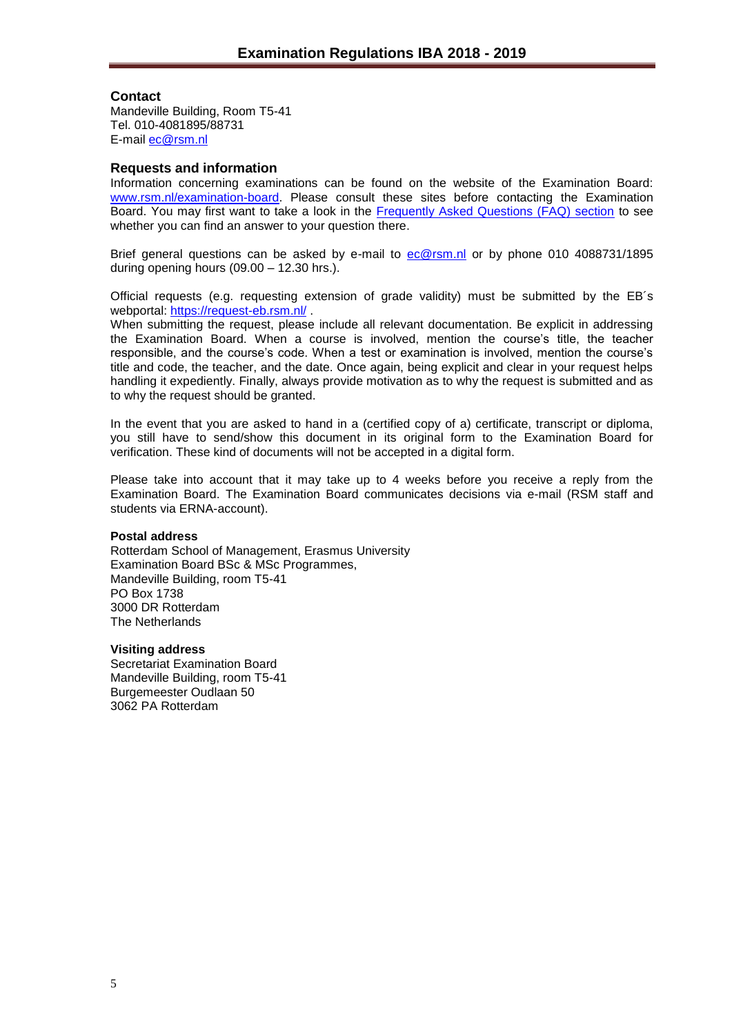## <span id="page-4-0"></span>**Contact**

Mandeville Building, Room T5-41 Tel. 010-4081895/88731 E-mail [ec@rsm.nl](mailto:ec@rsm.nl)

## <span id="page-4-1"></span>**Requests and information**

Information concerning examinations can be found on the website of the Examination Board: [www.rsm.nl/examination-board.](http://www.rsm.nl/examination-board) Please consult these sites before contacting the Examination Board. You may first want to take a look in the [Frequently Asked Questions \(FAQ\) section](http://www.rsm.nl/examination-board/frequently-asked-questions-faqs/) to see whether you can find an answer to your question there.

Brief general questions can be asked by e-mail to [ec@rsm.nl](mailto:ec@rsm.nl) or by phone 010 4088731/1895 during opening hours (09.00 – 12.30 hrs.).

Official requests (e.g. requesting extension of grade validity) must be submitted by the EB´s webportal:<https://request-eb.rsm.nl/> .

When submitting the request, please include all relevant documentation. Be explicit in addressing the Examination Board. When a course is involved, mention the course's title, the teacher responsible, and the course's code. When a test or examination is involved, mention the course's title and code, the teacher, and the date. Once again, being explicit and clear in your request helps handling it expediently. Finally, always provide motivation as to why the request is submitted and as to why the request should be granted.

In the event that you are asked to hand in a (certified copy of a) certificate, transcript or diploma, you still have to send/show this document in its original form to the Examination Board for verification. These kind of documents will not be accepted in a digital form.

Please take into account that it may take up to 4 weeks before you receive a reply from the Examination Board. The Examination Board communicates decisions via e-mail (RSM staff and students via ERNA-account).

## **Postal address**

Rotterdam School of Management, Erasmus University Examination Board BSc & MSc Programmes, Mandeville Building, room T5-41 PO Box 1738 3000 DR Rotterdam The Netherlands

#### **Visiting address**

Secretariat Examination Board Mandeville Building, room T5-41 Burgemeester Oudlaan 50 3062 PA Rotterdam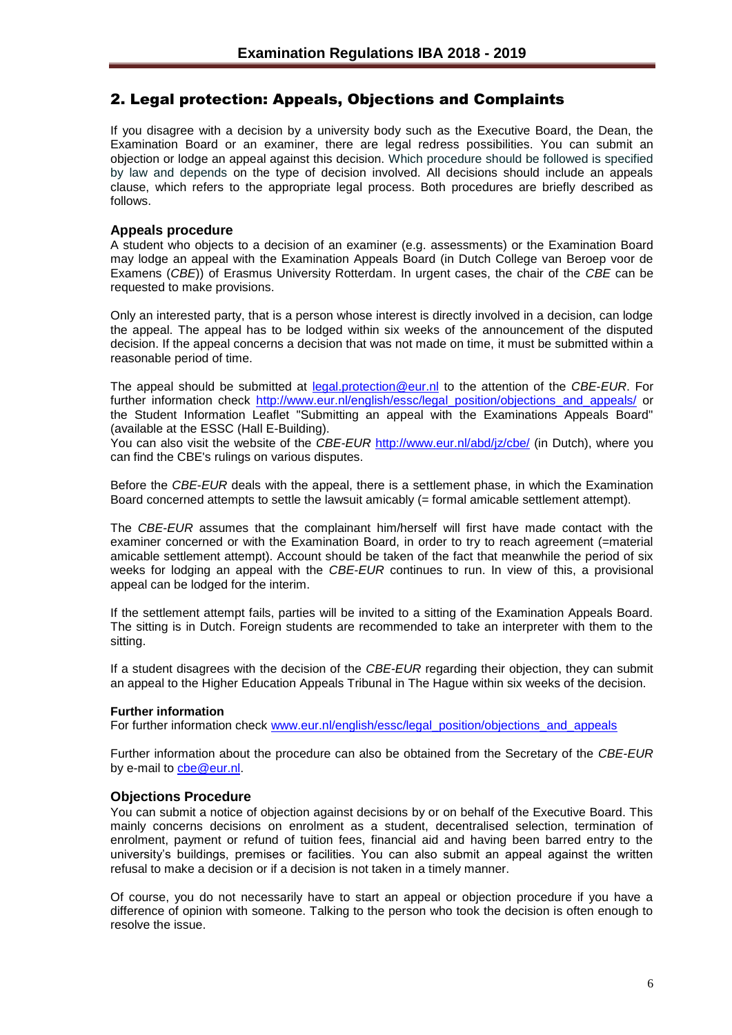## <span id="page-5-0"></span>2. Legal protection: Appeals, Objections and Complaints

If you disagree with a decision by a university body such as the Executive Board, the Dean, the Examination Board or an examiner, there are legal redress possibilities. You can submit an objection or lodge an appeal against this decision. Which procedure should be followed is specified by law and depends on the type of decision involved. All decisions should include an appeals clause, which refers to the appropriate legal process. Both procedures are briefly described as follows.

## <span id="page-5-1"></span>**Appeals procedure**

A student who objects to a decision of an examiner (e.g. assessments) or the Examination Board may lodge an appeal with the Examination Appeals Board (in Dutch College van Beroep voor de Examens (*CBE*)) of Erasmus University Rotterdam. In urgent cases, the chair of the *CBE* can be requested to make provisions.

Only an interested party, that is a person whose interest is directly involved in a decision, can lodge the appeal. The appeal has to be lodged within six weeks of the announcement of the disputed decision. If the appeal concerns a decision that was not made on time, it must be submitted within a reasonable period of time.

The appeal should be submitted at [legal.protection@eur.nl](mailto:legal.protection@eur.nl) to the attention of the *CBE*-*EUR*. For further information check [http://www.eur.nl/english/essc/legal\\_position/objections\\_and\\_appeals/](http://www.eur.nl/english/essc/legal_position/objections_and_appeals/) or the Student Information Leaflet "Submitting an appeal with the Examinations Appeals Board" (available at the ESSC (Hall E-Building).

You can also visit the website of the *CBE-EUR* <http://www.eur.nl/abd/jz/cbe/> (in Dutch), where you can find the CBE's rulings on various disputes.

Before the *CBE*-*EUR* deals with the appeal, there is a settlement phase, in which the Examination Board concerned attempts to settle the lawsuit amicably (= formal amicable settlement attempt).

The *CBE*-*EUR* assumes that the complainant him/herself will first have made contact with the examiner concerned or with the Examination Board, in order to try to reach agreement (=material amicable settlement attempt). Account should be taken of the fact that meanwhile the period of six weeks for lodging an appeal with the *CBE*-*EUR* continues to run. In view of this, a provisional appeal can be lodged for the interim.

If the settlement attempt fails, parties will be invited to a sitting of the Examination Appeals Board. The sitting is in Dutch. Foreign students are recommended to take an interpreter with them to the sitting.

If a student disagrees with the decision of the *CBE-EUR* regarding their objection, they can submit an appeal to the Higher Education Appeals Tribunal in The Hague within six weeks of the decision.

## **Further information**

For further information check [www.eur.nl/english/essc/legal\\_position/objections\\_and\\_appeals](http://www.eur.nl/english/essc/legal_position/objections_and_appeals)

Further information about the procedure can also be obtained from the Secretary of the *CBE-EUR* by e-mail to [cbe@eur.nl.](mailto:cbe@eur.nl)

## <span id="page-5-2"></span>**Objections Procedure**

You can submit a notice of objection against decisions by or on behalf of the Executive Board. This mainly concerns decisions on enrolment as a student, decentralised selection, termination of enrolment, payment or refund of tuition fees, financial aid and having been barred entry to the university's buildings, premises or facilities. You can also submit an appeal against the written refusal to make a decision or if a decision is not taken in a timely manner.

Of course, you do not necessarily have to start an appeal or objection procedure if you have a difference of opinion with someone. Talking to the person who took the decision is often enough to resolve the issue.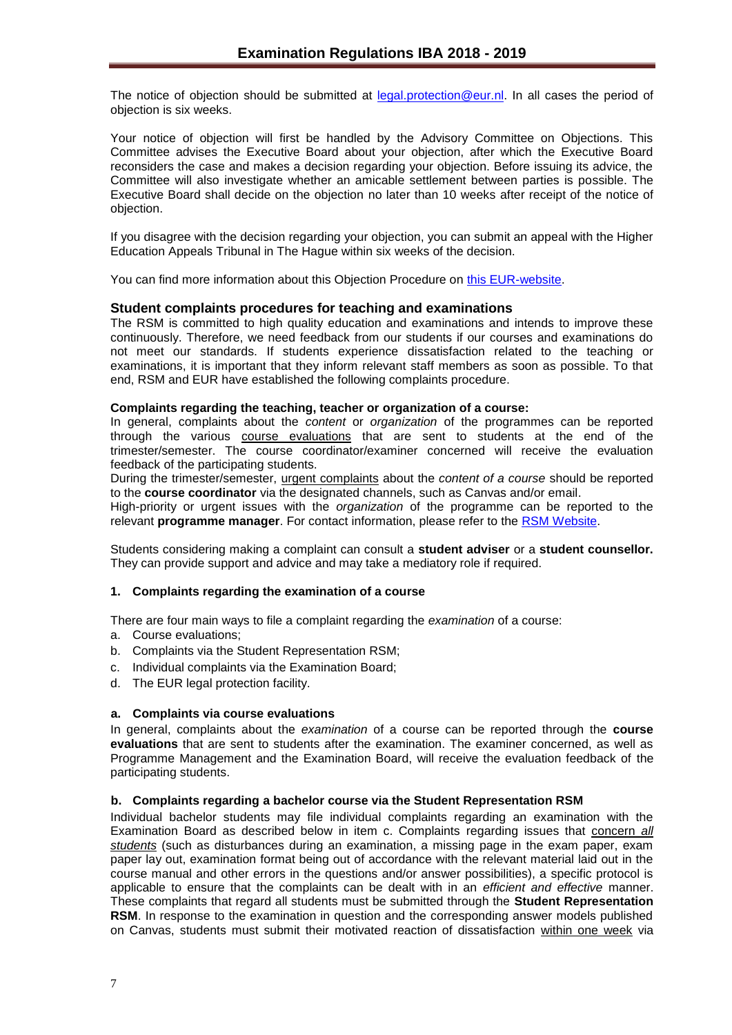The notice of objection should be submitted at [legal.protection@eur.nl.](mailto:legal.protection@eur.nl) In all cases the period of objection is six weeks.

Your notice of objection will first be handled by the Advisory Committee on Objections. This Committee advises the Executive Board about your objection, after which the Executive Board reconsiders the case and makes a decision regarding your objection. Before issuing its advice, the Committee will also investigate whether an amicable settlement between parties is possible. The Executive Board shall decide on the objection no later than 10 weeks after receipt of the notice of objection.

If you disagree with the decision regarding your objection, you can submit an appeal with the Higher Education Appeals Tribunal in The Hague within six weeks of the decision.

You can find more information about this Objection Procedure on [this EUR-website.](http://www.eur.nl/english/essc/legal_position/objections_and_appeals/)

## <span id="page-6-0"></span>**Student complaints procedures for teaching and examinations**

The RSM is committed to high quality education and examinations and intends to improve these continuously. Therefore, we need feedback from our students if our courses and examinations do not meet our standards. If students experience dissatisfaction related to the teaching or examinations, it is important that they inform relevant staff members as soon as possible. To that end, RSM and EUR have established the following complaints procedure.

#### **Complaints regarding the teaching, teacher or organization of a course:**

In general, complaints about the *content* or *organization* of the programmes can be reported through the various course evaluations that are sent to students at the end of the trimester/semester. The course coordinator/examiner concerned will receive the evaluation feedback of the participating students.

During the trimester/semester, urgent complaints about the *content of a course* should be reported to the **course coordinator** via the designated channels, such as Canvas and/or email.

High-priority or urgent issues with the *organization* of the programme can be reported to the relevant **programme manager**. For contact information, please refer to the [RSM Website.](https://www.rsm.nl/information-for/current-students/)

Students considering making a complaint can consult a **student adviser** or a **student counsellor.**  They can provide support and advice and may take a mediatory role if required.

#### **1. Complaints regarding the examination of a course**

There are four main ways to file a complaint regarding the *examination* of a course:

- a. Course evaluations;
- b. Complaints via the Student Representation RSM;
- c. Individual complaints via the Examination Board;
- d. The EUR legal protection facility.

## **a. Complaints via course evaluations**

In general, complaints about the *examination* of a course can be reported through the **course evaluations** that are sent to students after the examination. The examiner concerned, as well as Programme Management and the Examination Board, will receive the evaluation feedback of the participating students.

#### **b. Complaints regarding a bachelor course via the Student Representation RSM**

Individual bachelor students may file individual complaints regarding an examination with the Examination Board as described below in item c. Complaints regarding issues that concern *all students* (such as disturbances during an examination, a missing page in the exam paper, exam paper lay out, examination format being out of accordance with the relevant material laid out in the course manual and other errors in the questions and/or answer possibilities), a specific protocol is applicable to ensure that the complaints can be dealt with in an *efficient and effective* manner. These complaints that regard all students must be submitted through the **Student Representation RSM**. In response to the examination in question and the corresponding answer models published on Canvas, students must submit their motivated reaction of dissatisfaction within one week via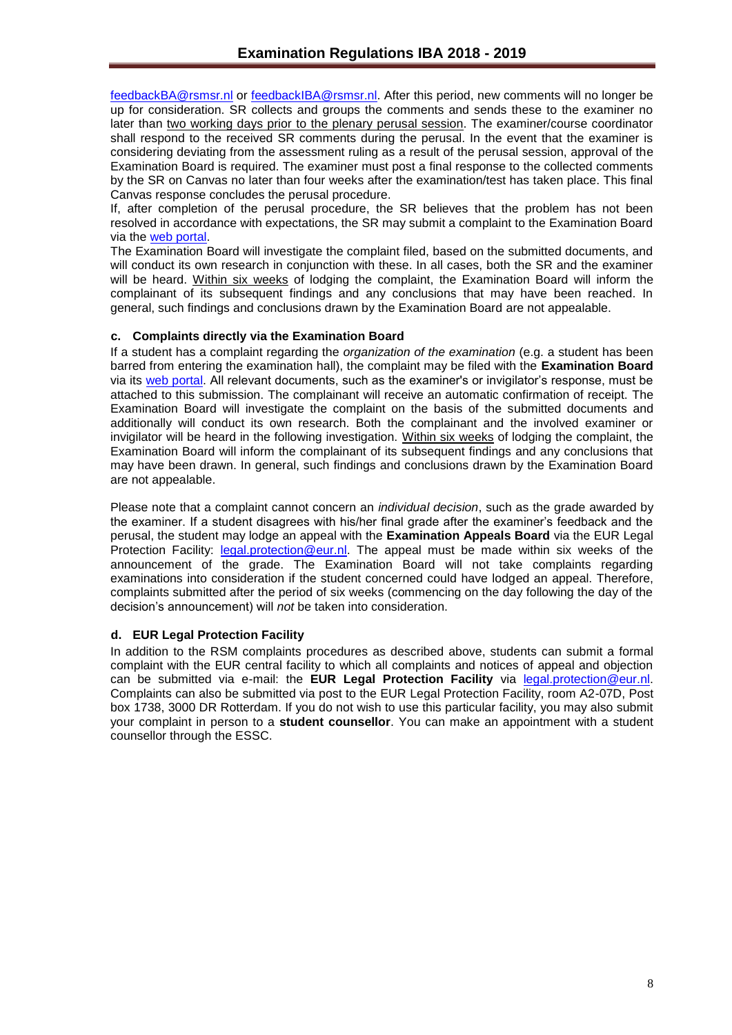[feedbackBA@rsmsr.nl](mailto:feedbackBA@rsmsr.nl) or [feedbackIBA@rsmsr.nl.](mailto:feedbackIBA@rsmsr.nl) After this period, new comments will no longer be up for consideration. SR collects and groups the comments and sends these to the examiner no later than two working days prior to the plenary perusal session. The examiner/course coordinator shall respond to the received SR comments during the perusal. In the event that the examiner is considering deviating from the assessment ruling as a result of the perusal session, approval of the Examination Board is required. The examiner must post a final response to the collected comments by the SR on Canvas no later than four weeks after the examination/test has taken place. This final Canvas response concludes the perusal procedure.

If, after completion of the perusal procedure, the SR believes that the problem has not been resolved in accordance with expectations, the SR may submit a complaint to the Examination Board via the [web portal.](https://request-eb.rsm.nl/)

The Examination Board will investigate the complaint filed, based on the submitted documents, and will conduct its own research in conjunction with these. In all cases, both the SR and the examiner will be heard. Within six weeks of lodging the complaint, the Examination Board will inform the complainant of its subsequent findings and any conclusions that may have been reached. In general, such findings and conclusions drawn by the Examination Board are not appealable.

## **c. Complaints directly via the Examination Board**

If a student has a complaint regarding the *organization of the examination* (e.g. a student has been barred from entering the examination hall), the complaint may be filed with the **Examination Board** via its [web portal.](https://request-eb.rsm.nl/) All relevant documents, such as the examiner's or invigilator's response, must be attached to this submission. The complainant will receive an automatic confirmation of receipt. The Examination Board will investigate the complaint on the basis of the submitted documents and additionally will conduct its own research. Both the complainant and the involved examiner or invigilator will be heard in the following investigation. Within six weeks of lodging the complaint, the Examination Board will inform the complainant of its subsequent findings and any conclusions that may have been drawn. In general, such findings and conclusions drawn by the Examination Board are not appealable.

Please note that a complaint cannot concern an *individual decision*, such as the grade awarded by the examiner. If a student disagrees with his/her final grade after the examiner's feedback and the perusal, the student may lodge an appeal with the **Examination Appeals Board** via the EUR Legal Protection Facility: [legal.protection@eur.nl.](mailto:legal.protection@eur.nl) The appeal must be made within six weeks of the announcement of the grade. The Examination Board will not take complaints regarding examinations into consideration if the student concerned could have lodged an appeal. Therefore, complaints submitted after the period of six weeks (commencing on the day following the day of the decision's announcement) will *not* be taken into consideration.

## **d. EUR Legal Protection Facility**

In addition to the RSM complaints procedures as described above, students can submit a formal complaint with the EUR central facility to which all complaints and notices of appeal and objection can be submitted via e-mail: the **EUR Legal Protection Facility** via [legal.protection@eur.nl.](mailto:legal.protection@eur.nl) Complaints can also be submitted via post to the EUR Legal Protection Facility, room A2-07D, Post box 1738, 3000 DR Rotterdam. If you do not wish to use this particular facility, you may also submit your complaint in person to a **student counsellor**. You can make an appointment with a student counsellor through the ESSC.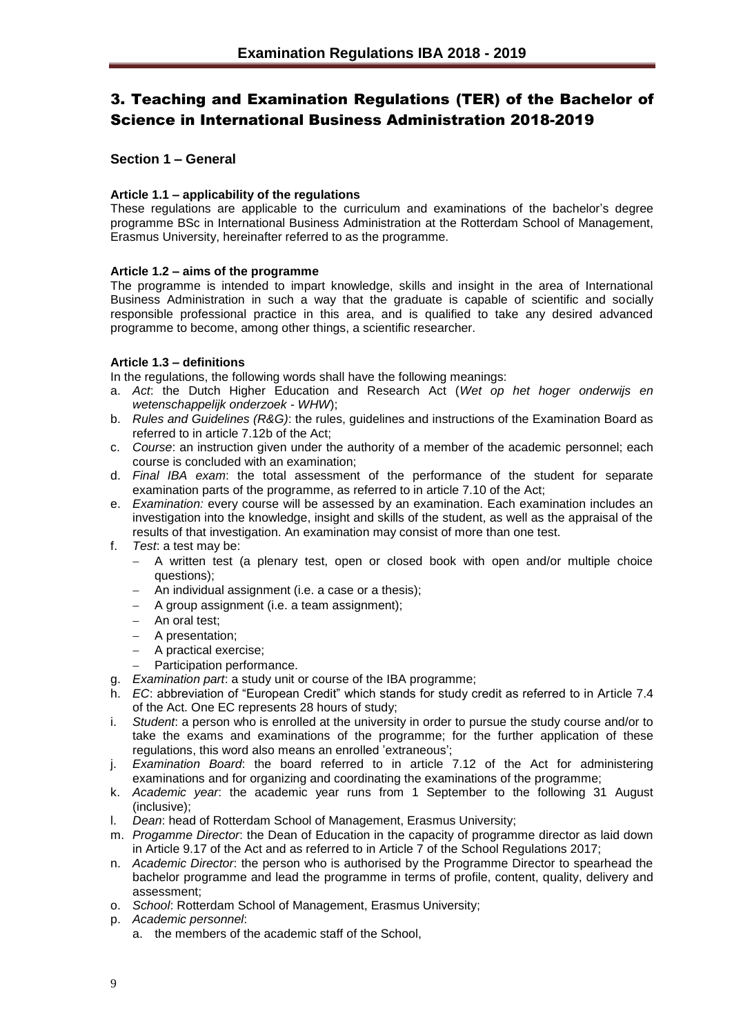# <span id="page-8-0"></span>3. Teaching and Examination Regulations (TER) of the Bachelor of Science in International Business Administration 2018-2019

## <span id="page-8-1"></span>**Section 1 – General**

## <span id="page-8-2"></span>**Article 1.1 – applicability of the regulations**

These regulations are applicable to the curriculum and examinations of the bachelor's degree programme BSc in International Business Administration at the Rotterdam School of Management, Erasmus University, hereinafter referred to as the programme.

## <span id="page-8-3"></span>**Article 1.2 – aims of the programme**

The programme is intended to impart knowledge, skills and insight in the area of International Business Administration in such a way that the graduate is capable of scientific and socially responsible professional practice in this area, and is qualified to take any desired advanced programme to become, among other things, a scientific researcher.

## <span id="page-8-4"></span>**Article 1.3 – definitions**

In the regulations, the following words shall have the following meanings:

- a. *Act*: the Dutch Higher Education and Research Act (*Wet op het hoger onderwijs en wetenschappelijk onderzoek* - *WHW*);
- b. *Rules and Guidelines (R&G)*: the rules, guidelines and instructions of the Examination Board as referred to in article 7.12b of the Act;
- c. *Course*: an instruction given under the authority of a member of the academic personnel; each course is concluded with an examination;
- d. *Final IBA exam*: the total assessment of the performance of the student for separate examination parts of the programme, as referred to in article 7.10 of the Act;
- e. *Examination:* every course will be assessed by an examination. Each examination includes an investigation into the knowledge, insight and skills of the student, as well as the appraisal of the results of that investigation. An examination may consist of more than one test.
- f. *Test*: a test may be:
	- A written test (a plenary test, open or closed book with open and/or multiple choice questions);
	- An individual assignment (i.e. a case or a thesis);
	- A group assignment (i.e. a team assignment);
	- An oral test;
	- A presentation;
	- A practical exercise;
	- Participation performance.
- g. *Examination part*: a study unit or course of the IBA programme;
- h. *EC*: abbreviation of "European Credit" which stands for study credit as referred to in Article 7.4 of the Act. One EC represents 28 hours of study;
- i. *Student*: a person who is enrolled at the university in order to pursue the study course and/or to take the exams and examinations of the programme; for the further application of these regulations, this word also means an enrolled 'extraneous';
- j. *Examination Board*: the board referred to in article 7.12 of the Act for administering examinations and for organizing and coordinating the examinations of the programme;
- k. *Academic year*: the academic year runs from 1 September to the following 31 August (inclusive);
- l. *Dean*: head of Rotterdam School of Management, Erasmus University;
- m. *Progamme Director*: the Dean of Education in the capacity of programme director as laid down in Article 9.17 of the Act and as referred to in Article 7 of the School Regulations 2017;
- n. *Academic Director*: the person who is authorised by the Programme Director to spearhead the bachelor programme and lead the programme in terms of profile, content, quality, delivery and assessment;
- o. *School*: Rotterdam School of Management, Erasmus University;
- p. *Academic personnel*:
	- a. the members of the academic staff of the School,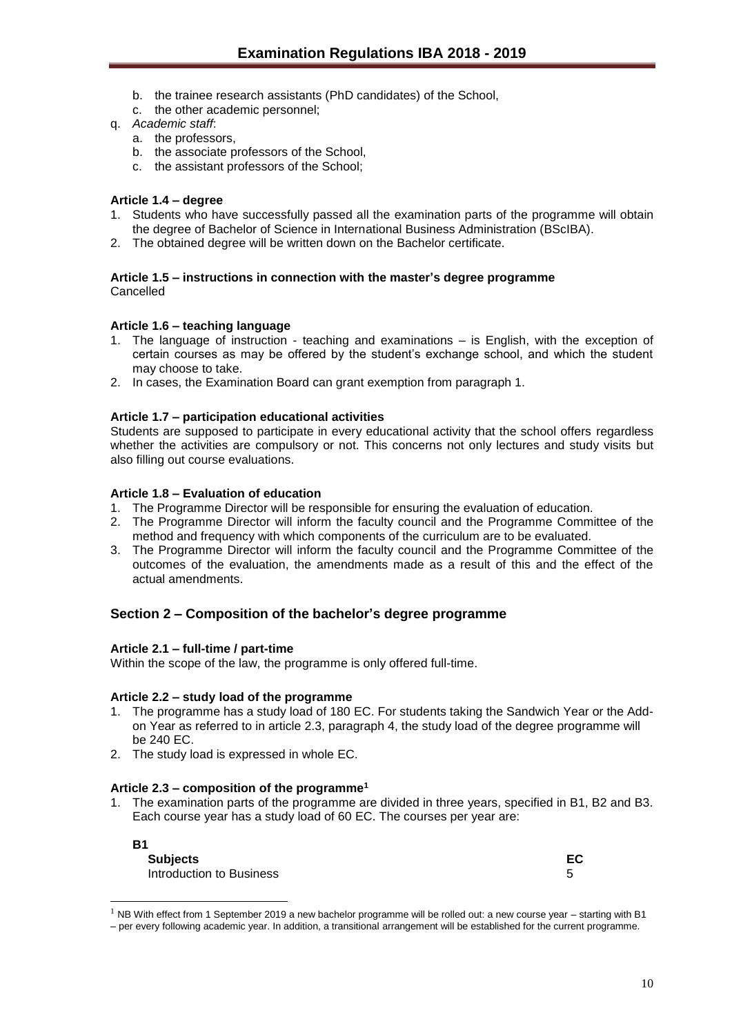- b. the trainee research assistants (PhD candidates) of the School,
- c. the other academic personnel;
- q. *Academic staff*:
	- a. the professors,
	- b. the associate professors of the School,
	- c. the assistant professors of the School;

## <span id="page-9-0"></span>**Article 1.4 – degree**

- 1. Students who have successfully passed all the examination parts of the programme will obtain the degree of Bachelor of Science in International Business Administration (BScIBA).
- 2. The obtained degree will be written down on the Bachelor certificate.

#### <span id="page-9-1"></span>**Article 1.5 – instructions in connection with the master's degree programme** Cancelled

### <span id="page-9-2"></span>**Article 1.6 – teaching language**

- 1. The language of instruction teaching and examinations is English, with the exception of certain courses as may be offered by the student's exchange school, and which the student may choose to take.
- 2. In cases, the Examination Board can grant exemption from paragraph 1.

## <span id="page-9-3"></span>**Article 1.7 – participation educational activities**

Students are supposed to participate in every educational activity that the school offers regardless whether the activities are compulsory or not. This concerns not only lectures and study visits but also filling out course evaluations.

## <span id="page-9-4"></span>**Article 1.8 – Evaluation of education**

- 1. The Programme Director will be responsible for ensuring the evaluation of education.
- 2. The Programme Director will inform the faculty council and the Programme Committee of the method and frequency with which components of the curriculum are to be evaluated.
- 3. The Programme Director will inform the faculty council and the Programme Committee of the outcomes of the evaluation, the amendments made as a result of this and the effect of the actual amendments.

## <span id="page-9-5"></span>**Section 2 – Composition of the bachelor's degree programme**

#### <span id="page-9-6"></span>**Article 2.1 – full-time / part-time**

Within the scope of the law, the programme is only offered full-time.

#### <span id="page-9-7"></span>**Article 2.2 – study load of the programme**

- 1. The programme has a study load of 180 EC. For students taking the Sandwich Year or the Addon Year as referred to in article 2.3, paragraph 4, the study load of the degree programme will be 240 EC.
- 2. The study load is expressed in whole EC.

#### <span id="page-9-8"></span>**Article 2.3 – composition of the programme<sup>1</sup>**

1. The examination parts of the programme are divided in three years, specified in B1, B2 and B3. Each course year has a study load of 60 EC. The courses per year are:

**B1**

l

**Subjects EC** Introduction to Business 5

|         | M.<br>۰, |
|---------|----------|
| ×<br>۰. |          |

 $1$  NB With effect from 1 September 2019 a new bachelor programme will be rolled out: a new course year – starting with B1 – per every following academic year. In addition, a transitional arrangement will be established for the current programme.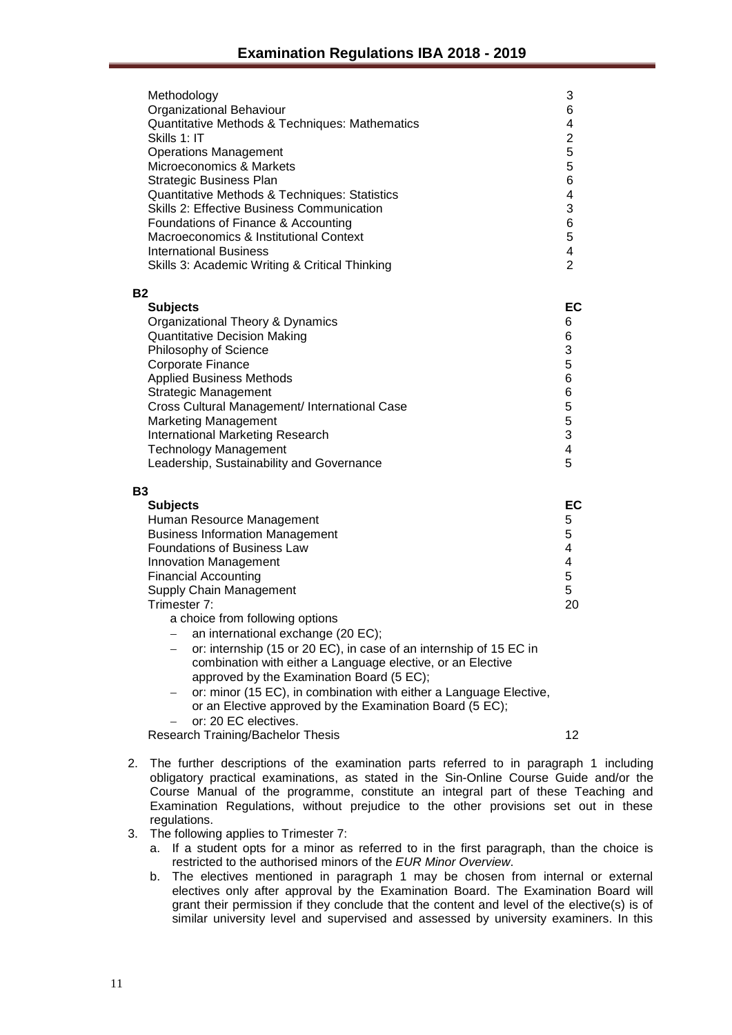|           | Methodology<br>Organizational Behaviour<br>Quantitative Methods & Techniques: Mathematics<br>Skills 1: IT<br><b>Operations Management</b><br>Microeconomics & Markets<br><b>Strategic Business Plan</b><br>Quantitative Methods & Techniques: Statistics<br><b>Skills 2: Effective Business Communication</b><br>Foundations of Finance & Accounting<br>Macroeconomics & Institutional Context<br><b>International Business</b><br>Skills 3: Academic Writing & Critical Thinking                                                                                                                                                                                                                | 3<br>6<br>4<br>$\overline{c}$<br>$\overline{5}$<br>5<br>6<br>$\overline{\mathbf{4}}$<br>3<br>6<br>5<br>$\overline{\mathbf{4}}$<br>$\overline{2}$ |
|-----------|--------------------------------------------------------------------------------------------------------------------------------------------------------------------------------------------------------------------------------------------------------------------------------------------------------------------------------------------------------------------------------------------------------------------------------------------------------------------------------------------------------------------------------------------------------------------------------------------------------------------------------------------------------------------------------------------------|--------------------------------------------------------------------------------------------------------------------------------------------------|
| <b>B2</b> | <b>Subjects</b><br>Organizational Theory & Dynamics<br><b>Quantitative Decision Making</b><br>Philosophy of Science<br>Corporate Finance<br><b>Applied Business Methods</b><br><b>Strategic Management</b><br>Cross Cultural Management/ International Case<br><b>Marketing Management</b><br>International Marketing Research<br><b>Technology Management</b><br>Leadership, Sustainability and Governance                                                                                                                                                                                                                                                                                      | EC<br>6<br>6<br>3<br>5<br>6<br>6<br>$\frac{5}{3}$<br>4<br>5                                                                                      |
| <b>B3</b> | <b>Subjects</b><br>Human Resource Management<br><b>Business Information Management</b><br><b>Foundations of Business Law</b><br><b>Innovation Management</b><br><b>Financial Accounting</b><br>Supply Chain Management<br>Trimester 7:<br>a choice from following options<br>an international exchange (20 EC);<br>or: internship (15 or 20 EC), in case of an internship of 15 EC in<br>combination with either a Language elective, or an Elective<br>approved by the Examination Board (5 EC);<br>or: minor (15 EC), in combination with either a Language Elective,<br>or an Elective approved by the Examination Board (5 EC);<br>or: 20 EC electives.<br>Research Training/Bachelor Thesis | EC<br>5<br>5<br>$\overline{4}$<br>$\overline{\mathbf{4}}$<br>5<br>5<br>20<br>12                                                                  |
|           | 2. The further descriptions of the examination parts referred to in paragraph                                                                                                                                                                                                                                                                                                                                                                                                                                                                                                                                                                                                                    |                                                                                                                                                  |

- 2. The further descriptions of the examination parts referred to in paragraph 1 including obligatory practical examinations, as stated in the Sin-Online Course Guide and/or the Course Manual of the programme, constitute an integral part of these Teaching and Examination Regulations, without prejudice to the other provisions set out in these regulations.
- 3. The following applies to Trimester 7:
	- a. If a student opts for a minor as referred to in the first paragraph, than the choice is restricted to the authorised minors of the *EUR Minor Overview*.
	- b. The electives mentioned in paragraph 1 may be chosen from internal or external electives only after approval by the Examination Board. The Examination Board will grant their permission if they conclude that the content and level of the elective(s) is of similar university level and supervised and assessed by university examiners. In this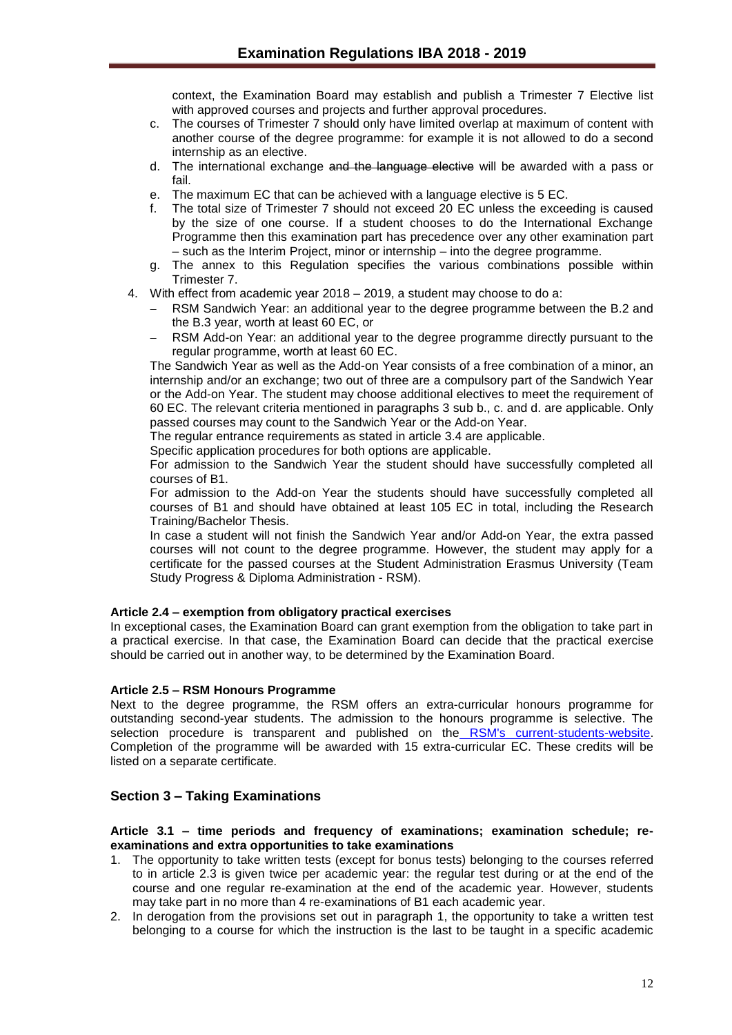context, the Examination Board may establish and publish a Trimester 7 Elective list with approved courses and projects and further approval procedures.

- c. The courses of Trimester 7 should only have limited overlap at maximum of content with another course of the degree programme: for example it is not allowed to do a second internship as an elective.
- d. The international exchange and the language elective will be awarded with a pass or fail.
- e. The maximum EC that can be achieved with a language elective is 5 EC.
- f. The total size of Trimester 7 should not exceed 20 EC unless the exceeding is caused by the size of one course. If a student chooses to do the International Exchange Programme then this examination part has precedence over any other examination part – such as the Interim Project, minor or internship – into the degree programme.
- g. The annex to this Regulation specifies the various combinations possible within Trimester 7.
- 4. With effect from academic year 2018 2019, a student may choose to do a:
	- RSM Sandwich Year: an additional year to the degree programme between the B.2 and the B.3 year, worth at least 60 EC, or
	- RSM Add-on Year: an additional year to the degree programme directly pursuant to the regular programme, worth at least 60 EC.

The Sandwich Year as well as the Add-on Year consists of a free combination of a minor, an internship and/or an exchange; two out of three are a compulsory part of the Sandwich Year or the Add-on Year. The student may choose additional electives to meet the requirement of 60 EC. The relevant criteria mentioned in paragraphs 3 sub b., c. and d. are applicable. Only passed courses may count to the Sandwich Year or the Add-on Year.

The regular entrance requirements as stated in article 3.4 are applicable.

Specific application procedures for both options are applicable.

For admission to the Sandwich Year the student should have successfully completed all courses of B1.

For admission to the Add-on Year the students should have successfully completed all courses of B1 and should have obtained at least 105 EC in total, including the Research Training/Bachelor Thesis.

In case a student will not finish the Sandwich Year and/or Add-on Year, the extra passed courses will not count to the degree programme. However, the student may apply for a certificate for the passed courses at the Student Administration Erasmus University (Team Study Progress & Diploma Administration - RSM).

## <span id="page-11-0"></span>**Article 2.4 – exemption from obligatory practical exercises**

In exceptional cases, the Examination Board can grant exemption from the obligation to take part in a practical exercise. In that case, the Examination Board can decide that the practical exercise should be carried out in another way, to be determined by the Examination Board.

#### **Article 2.5 – RSM Honours Programme**

Next to the degree programme, the RSM offers an extra-curricular honours programme for outstanding second-year students. The admission to the honours programme is selective. The selection procedure is transparent and published on the [RSM's current-students-website.](http://www.rsm.nl/bachelor/current-students/current-bachelor-iba-students/bachelor-2/rsm-honours-programme/) Completion of the programme will be awarded with 15 extra-curricular EC. These credits will be listed on a separate certificate.

## <span id="page-11-1"></span>**Section 3 – Taking Examinations**

#### <span id="page-11-2"></span>**Article 3.1 – time periods and frequency of examinations; examination schedule; reexaminations and extra opportunities to take examinations**

- 1. The opportunity to take written tests (except for bonus tests) belonging to the courses referred to in article 2.3 is given twice per academic year: the regular test during or at the end of the course and one regular re-examination at the end of the academic year. However, students may take part in no more than 4 re-examinations of B1 each academic year.
- 2. In derogation from the provisions set out in paragraph 1, the opportunity to take a written test belonging to a course for which the instruction is the last to be taught in a specific academic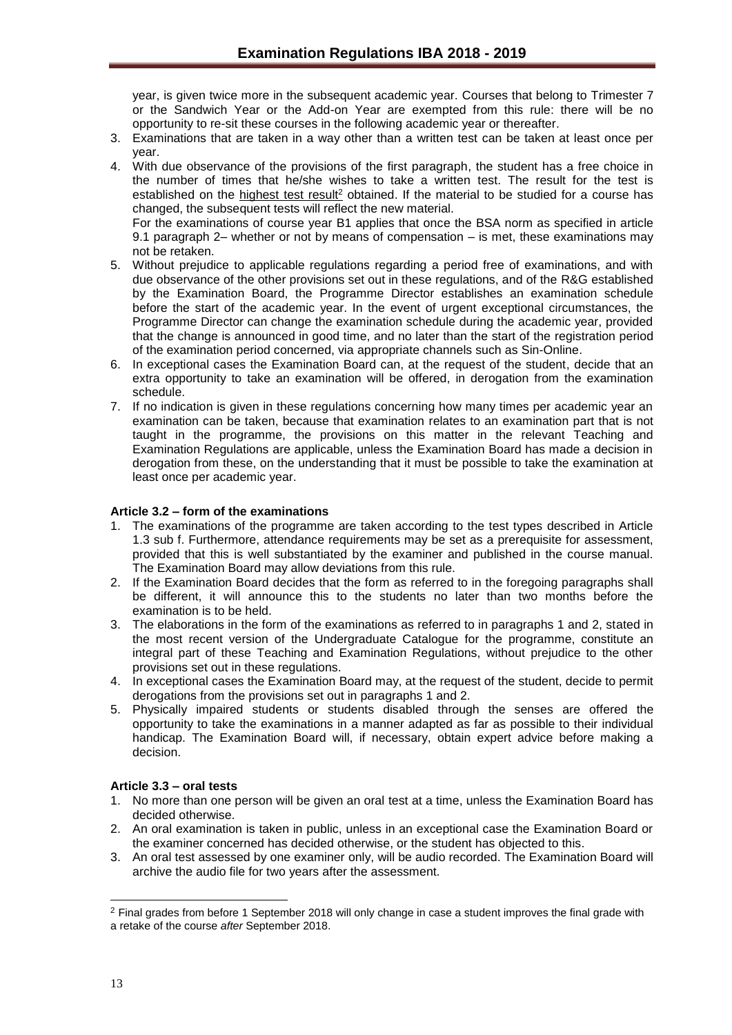year, is given twice more in the subsequent academic year. Courses that belong to Trimester 7 or the Sandwich Year or the Add-on Year are exempted from this rule: there will be no opportunity to re-sit these courses in the following academic year or thereafter.

- 3. Examinations that are taken in a way other than a written test can be taken at least once per year.
- 4. With due observance of the provisions of the first paragraph, the student has a free choice in the number of times that he/she wishes to take a written test. The result for the test is established on the highest test result<sup>2</sup> obtained. If the material to be studied for a course has changed, the subsequent tests will reflect the new material.

For the examinations of course year B1 applies that once the BSA norm as specified in article 9.1 paragraph 2– whether or not by means of compensation – is met, these examinations may not be retaken.

- 5. Without prejudice to applicable regulations regarding a period free of examinations, and with due observance of the other provisions set out in these regulations, and of the R&G established by the Examination Board, the Programme Director establishes an examination schedule before the start of the academic year. In the event of urgent exceptional circumstances, the Programme Director can change the examination schedule during the academic year, provided that the change is announced in good time, and no later than the start of the registration period of the examination period concerned, via appropriate channels such as Sin-Online.
- 6. In exceptional cases the Examination Board can, at the request of the student, decide that an extra opportunity to take an examination will be offered, in derogation from the examination schedule.
- 7. If no indication is given in these regulations concerning how many times per academic year an examination can be taken, because that examination relates to an examination part that is not taught in the programme, the provisions on this matter in the relevant Teaching and Examination Regulations are applicable, unless the Examination Board has made a decision in derogation from these, on the understanding that it must be possible to take the examination at least once per academic year.

## <span id="page-12-0"></span>**Article 3.2 – form of the examinations**

- 1. The examinations of the programme are taken according to the test types described in Article 1.3 sub f. Furthermore, attendance requirements may be set as a prerequisite for assessment, provided that this is well substantiated by the examiner and published in the course manual. The Examination Board may allow deviations from this rule.
- 2. If the Examination Board decides that the form as referred to in the foregoing paragraphs shall be different, it will announce this to the students no later than two months before the examination is to be held.
- 3. The elaborations in the form of the examinations as referred to in paragraphs 1 and 2, stated in the most recent version of the Undergraduate Catalogue for the programme, constitute an integral part of these Teaching and Examination Regulations, without prejudice to the other provisions set out in these regulations.
- 4. In exceptional cases the Examination Board may, at the request of the student, decide to permit derogations from the provisions set out in paragraphs 1 and 2.
- 5. Physically impaired students or students disabled through the senses are offered the opportunity to take the examinations in a manner adapted as far as possible to their individual handicap. The Examination Board will, if necessary, obtain expert advice before making a decision.

## <span id="page-12-1"></span>**Article 3.3 – oral tests**

- 1. No more than one person will be given an oral test at a time, unless the Examination Board has decided otherwise.
- 2. An oral examination is taken in public, unless in an exceptional case the Examination Board or the examiner concerned has decided otherwise, or the student has objected to this.
- 3. An oral test assessed by one examiner only, will be audio recorded. The Examination Board will archive the audio file for two years after the assessment.

l

<sup>2</sup> Final grades from before 1 September 2018 will only change in case a student improves the final grade with a retake of the course *after* September 2018.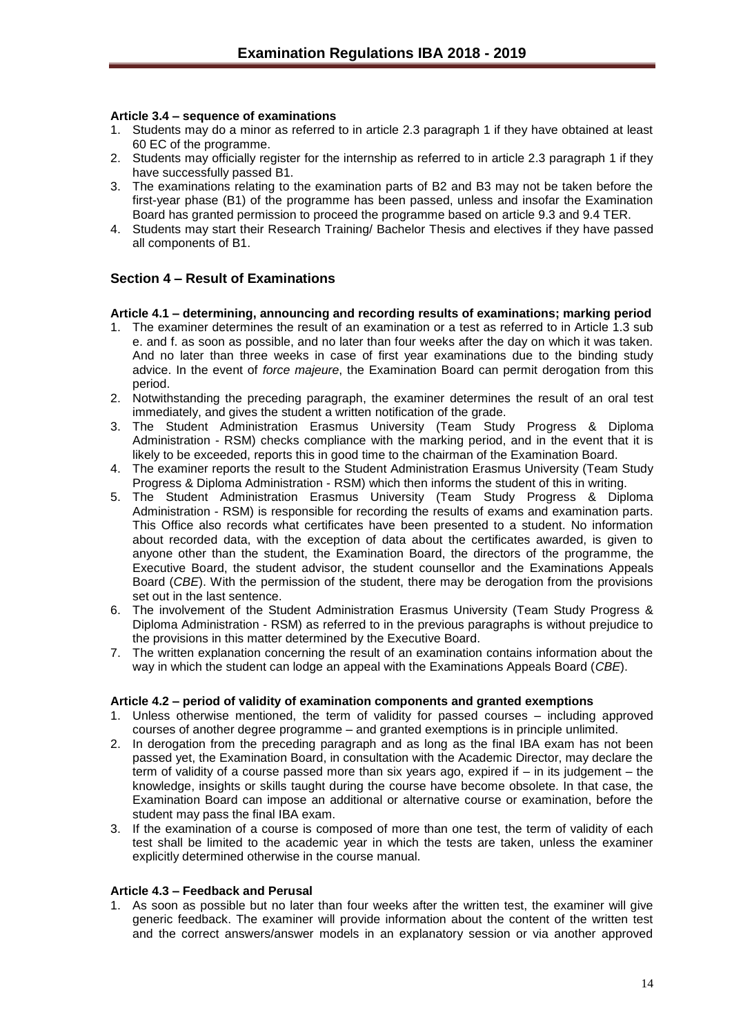## <span id="page-13-0"></span>**Article 3.4 – sequence of examinations**

- 1. Students may do a minor as referred to in article 2.3 paragraph 1 if they have obtained at least 60 EC of the programme.
- 2. Students may officially register for the internship as referred to in article 2.3 paragraph 1 if they have successfully passed B1.
- 3. The examinations relating to the examination parts of B2 and B3 may not be taken before the first-year phase (B1) of the programme has been passed, unless and insofar the Examination Board has granted permission to proceed the programme based on article 9.3 and 9.4 TER.
- 4. Students may start their Research Training/ Bachelor Thesis and electives if they have passed all components of B1.

## <span id="page-13-1"></span>**Section 4 – Result of Examinations**

## <span id="page-13-2"></span>**Article 4.1 – determining, announcing and recording results of examinations; marking period**

- 1. The examiner determines the result of an examination or a test as referred to in Article 1.3 sub e. and f. as soon as possible, and no later than four weeks after the day on which it was taken. And no later than three weeks in case of first year examinations due to the binding study advice. In the event of *force majeure*, the Examination Board can permit derogation from this period.
- 2. Notwithstanding the preceding paragraph, the examiner determines the result of an oral test immediately, and gives the student a written notification of the grade.
- 3. The Student Administration Erasmus University (Team Study Progress & Diploma Administration - RSM) checks compliance with the marking period, and in the event that it is likely to be exceeded, reports this in good time to the chairman of the Examination Board.
- 4. The examiner reports the result to the Student Administration Erasmus University (Team Study Progress & Diploma Administration - RSM) which then informs the student of this in writing.
- 5. The Student Administration Erasmus University (Team Study Progress & Diploma Administration - RSM) is responsible for recording the results of exams and examination parts. This Office also records what certificates have been presented to a student. No information about recorded data, with the exception of data about the certificates awarded, is given to anyone other than the student, the Examination Board, the directors of the programme, the Executive Board, the student advisor, the student counsellor and the Examinations Appeals Board (*CBE*). With the permission of the student, there may be derogation from the provisions set out in the last sentence.
- 6. The involvement of the Student Administration Erasmus University (Team Study Progress & Diploma Administration - RSM) as referred to in the previous paragraphs is without prejudice to the provisions in this matter determined by the Executive Board.
- 7. The written explanation concerning the result of an examination contains information about the way in which the student can lodge an appeal with the Examinations Appeals Board (*CBE*).

#### <span id="page-13-3"></span>**Article 4.2 – period of validity of examination components and granted exemptions**

- 1. Unless otherwise mentioned, the term of validity for passed courses including approved courses of another degree programme – and granted exemptions is in principle unlimited.
- 2. In derogation from the preceding paragraph and as long as the final IBA exam has not been passed yet, the Examination Board, in consultation with the Academic Director, may declare the term of validity of a course passed more than six years ago, expired if – in its judgement – the knowledge, insights or skills taught during the course have become obsolete. In that case, the Examination Board can impose an additional or alternative course or examination, before the student may pass the final IBA exam.
- 3. If the examination of a course is composed of more than one test, the term of validity of each test shall be limited to the academic year in which the tests are taken, unless the examiner explicitly determined otherwise in the course manual.

## <span id="page-13-4"></span>**Article 4.3 – Feedback and Perusal**

1. As soon as possible but no later than four weeks after the written test, the examiner will give generic feedback. The examiner will provide information about the content of the written test and the correct answers/answer models in an explanatory session or via another approved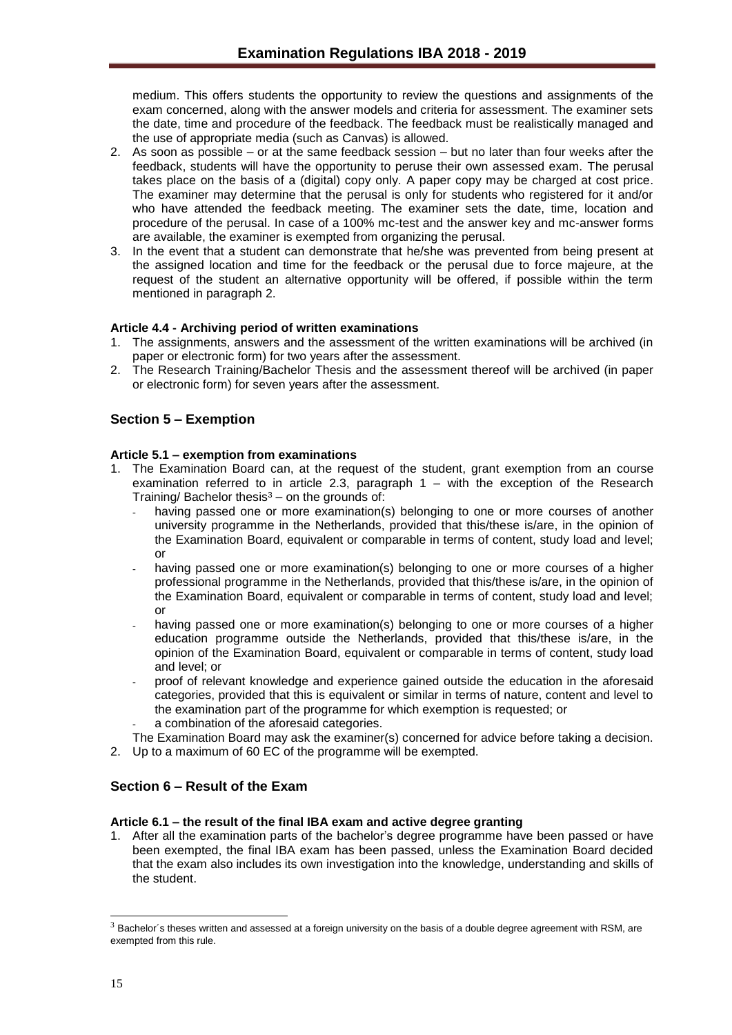medium. This offers students the opportunity to review the questions and assignments of the exam concerned, along with the answer models and criteria for assessment. The examiner sets the date, time and procedure of the feedback. The feedback must be realistically managed and the use of appropriate media (such as Canvas) is allowed.

- 2. As soon as possible or at the same feedback session but no later than four weeks after the feedback, students will have the opportunity to peruse their own assessed exam. The perusal takes place on the basis of a (digital) copy only. A paper copy may be charged at cost price. The examiner may determine that the perusal is only for students who registered for it and/or who have attended the feedback meeting. The examiner sets the date, time, location and procedure of the perusal. In case of a 100% mc-test and the answer key and mc-answer forms are available, the examiner is exempted from organizing the perusal.
- 3. In the event that a student can demonstrate that he/she was prevented from being present at the assigned location and time for the feedback or the perusal due to force majeure, at the request of the student an alternative opportunity will be offered, if possible within the term mentioned in paragraph 2.

## <span id="page-14-0"></span>**Article 4.4 - Archiving period of written examinations**

- 1. The assignments, answers and the assessment of the written examinations will be archived (in paper or electronic form) for two years after the assessment.
- 2. The Research Training/Bachelor Thesis and the assessment thereof will be archived (in paper or electronic form) for seven years after the assessment.

## <span id="page-14-1"></span>**Section 5 – Exemption**

## <span id="page-14-2"></span>**Article 5.1 – exemption from examinations**

- 1. The Examination Board can, at the request of the student, grant exemption from an course examination referred to in article 2.3, paragraph 1 – with the exception of the Research Training/ Bachelor thesis $3 -$  on the grounds of:
	- having passed one or more examination(s) belonging to one or more courses of another university programme in the Netherlands, provided that this/these is/are, in the opinion of the Examination Board, equivalent or comparable in terms of content, study load and level; or
	- having passed one or more examination(s) belonging to one or more courses of a higher professional programme in the Netherlands, provided that this/these is/are, in the opinion of the Examination Board, equivalent or comparable in terms of content, study load and level; or
	- having passed one or more examination(s) belonging to one or more courses of a higher education programme outside the Netherlands, provided that this/these is/are, in the opinion of the Examination Board, equivalent or comparable in terms of content, study load and level; or
	- proof of relevant knowledge and experience gained outside the education in the aforesaid categories, provided that this is equivalent or similar in terms of nature, content and level to the examination part of the programme for which exemption is requested; or
	- a combination of the aforesaid categories.

The Examination Board may ask the examiner(s) concerned for advice before taking a decision. 2. Up to a maximum of 60 EC of the programme will be exempted.

## <span id="page-14-3"></span>**Section 6 – Result of the Exam**

## <span id="page-14-4"></span>**Article 6.1 – the result of the final IBA exam and active degree granting**

1. After all the examination parts of the bachelor's degree programme have been passed or have been exempted, the final IBA exam has been passed, unless the Examination Board decided that the exam also includes its own investigation into the knowledge, understanding and skills of the student.

l

 $3$  Bachelor´s theses written and assessed at a foreign university on the basis of a double degree agreement with RSM, are exempted from this rule.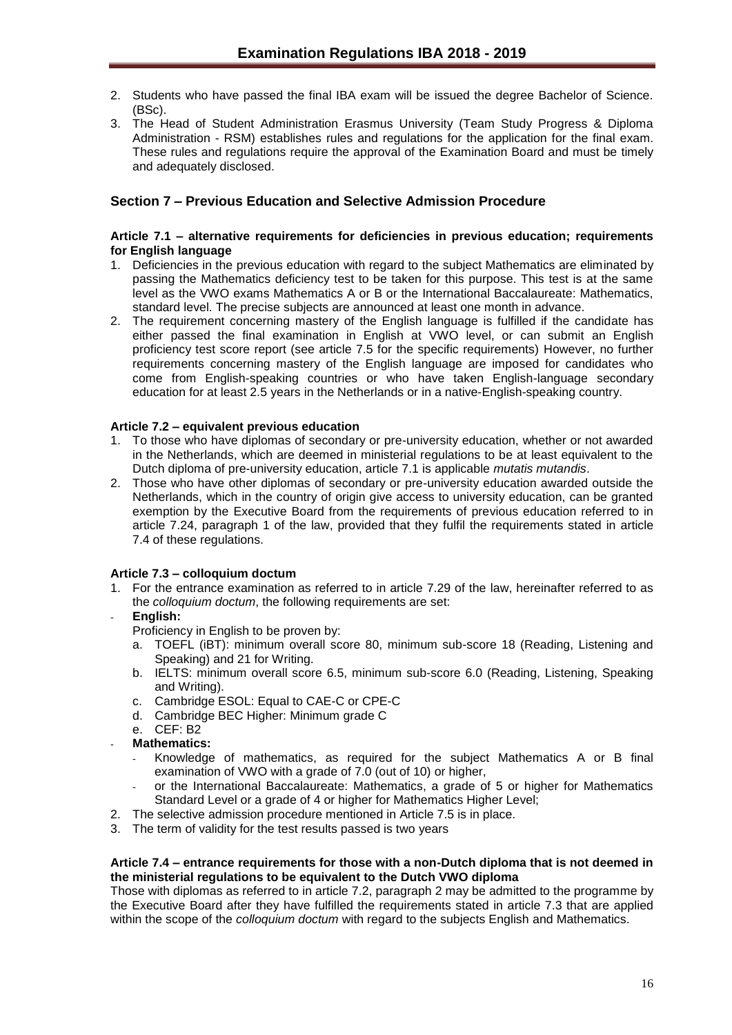- 2. Students who have passed the final IBA exam will be issued the degree Bachelor of Science. (BSc).
- 3. The Head of Student Administration Erasmus University (Team Study Progress & Diploma Administration - RSM) establishes rules and regulations for the application for the final exam. These rules and regulations require the approval of the Examination Board and must be timely and adequately disclosed.

## <span id="page-15-0"></span>**Section 7 – Previous Education and Selective Admission Procedure**

#### <span id="page-15-1"></span>**Article 7.1 – alternative requirements for deficiencies in previous education; requirements for English language**

- 1. Deficiencies in the previous education with regard to the subject Mathematics are eliminated by passing the Mathematics deficiency test to be taken for this purpose. This test is at the same level as the VWO exams Mathematics A or B or the International Baccalaureate: Mathematics, standard level. The precise subjects are announced at least one month in advance.
- 2. The requirement concerning mastery of the English language is fulfilled if the candidate has either passed the final examination in English at VWO level, or can submit an English proficiency test score report (see article 7.5 for the specific requirements) However, no further requirements concerning mastery of the English language are imposed for candidates who come from English-speaking countries or who have taken English-language secondary education for at least 2.5 years in the Netherlands or in a native-English-speaking country.

## <span id="page-15-2"></span>**Article 7.2 – equivalent previous education**

- 1. To those who have diplomas of secondary or pre-university education, whether or not awarded in the Netherlands, which are deemed in ministerial regulations to be at least equivalent to the Dutch diploma of pre-university education, article 7.1 is applicable *mutatis mutandis*.
- 2. Those who have other diplomas of secondary or pre-university education awarded outside the Netherlands, which in the country of origin give access to university education, can be granted exemption by the Executive Board from the requirements of previous education referred to in article 7.24, paragraph 1 of the law, provided that they fulfil the requirements stated in article 7.4 of these regulations.

## <span id="page-15-3"></span>**Article 7.3 – colloquium doctum**

- 1. For the entrance examination as referred to in article 7.29 of the law, hereinafter referred to as the *colloquium doctum*, the following requirements are set:
- **English:**
	- Proficiency in English to be proven by:
	- a. TOEFL (iBT): minimum overall score 80, minimum sub-score 18 (Reading, Listening and Speaking) and 21 for Writing.
	- b. IELTS: minimum overall score 6.5, minimum sub-score 6.0 (Reading, Listening, Speaking and Writing).
	- c. Cambridge ESOL: Equal to CAE-C or CPE-C
	- d. Cambridge BEC Higher: Minimum grade C
	- e. CEF: B2
- **Mathematics:**
	- Knowledge of mathematics, as required for the subject Mathematics A or B final examination of VWO with a grade of 7.0 (out of 10) or higher,
	- or the International Baccalaureate: Mathematics, a grade of 5 or higher for Mathematics Standard Level or a grade of 4 or higher for Mathematics Higher Level;
- 2. The selective admission procedure mentioned in Article 7.5 is in place.
- 3. The term of validity for the test results passed is two years

#### <span id="page-15-4"></span>**Article 7.4 – entrance requirements for those with a non-Dutch diploma that is not deemed in the ministerial regulations to be equivalent to the Dutch VWO diploma**

Those with diplomas as referred to in article 7.2, paragraph 2 may be admitted to the programme by the Executive Board after they have fulfilled the requirements stated in article 7.3 that are applied within the scope of the *colloquium doctum* with regard to the subjects English and Mathematics.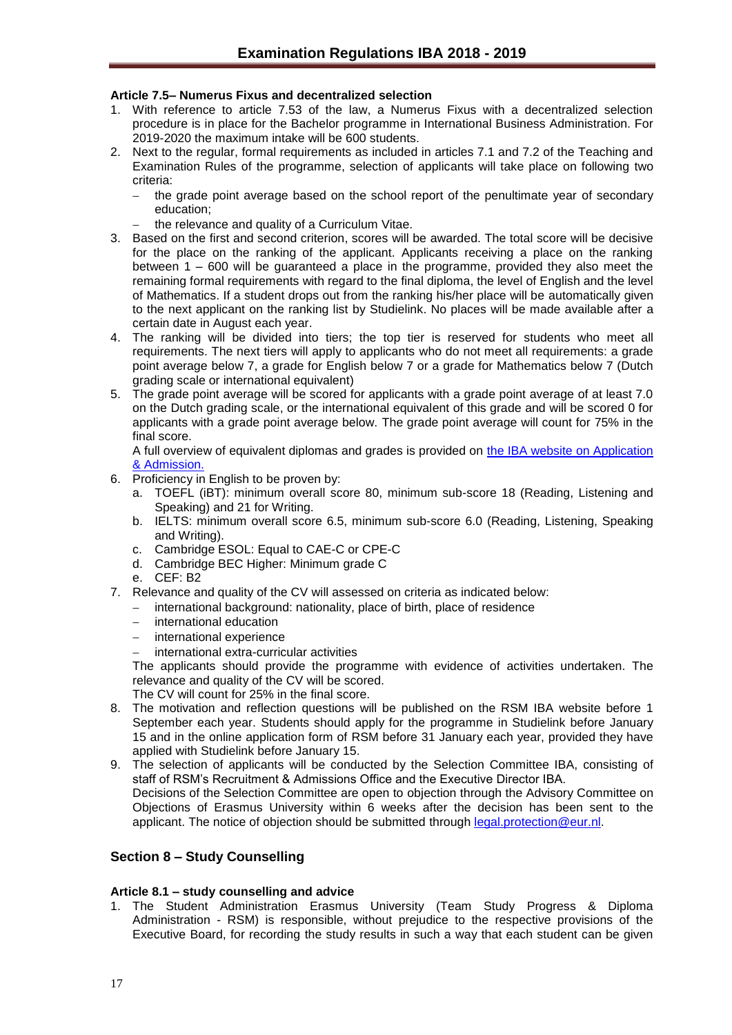## <span id="page-16-0"></span>**Article 7.5– Numerus Fixus and decentralized selection**

- 1. With reference to article 7.53 of the law, a Numerus Fixus with a decentralized selection procedure is in place for the Bachelor programme in International Business Administration. For 2019-2020 the maximum intake will be 600 students.
- 2. Next to the regular, formal requirements as included in articles 7.1 and 7.2 of the Teaching and Examination Rules of the programme, selection of applicants will take place on following two criteria:
	- the grade point average based on the school report of the penultimate year of secondary education;
	- the relevance and quality of a Curriculum Vitae.
- 3. Based on the first and second criterion, scores will be awarded. The total score will be decisive for the place on the ranking of the applicant. Applicants receiving a place on the ranking between 1 – 600 will be guaranteed a place in the programme, provided they also meet the remaining formal requirements with regard to the final diploma, the level of English and the level of Mathematics. If a student drops out from the ranking his/her place will be automatically given to the next applicant on the ranking list by Studielink. No places will be made available after a certain date in August each year.
- 4. The ranking will be divided into tiers; the top tier is reserved for students who meet all requirements. The next tiers will apply to applicants who do not meet all requirements: a grade point average below 7, a grade for English below 7 or a grade for Mathematics below 7 (Dutch grading scale or international equivalent)
- 5. The grade point average will be scored for applicants with a grade point average of at least 7.0 on the Dutch grading scale, or the international equivalent of this grade and will be scored 0 for applicants with a grade point average below. The grade point average will count for 75% in the final score.

A full overview of equivalent diplomas and grades is provided on [the IBA website on Application](http://www.rsm.nl/bachelor/international-business-administration/admission-application/selection-criteria-per-diploma/)  [& Admission.](http://www.rsm.nl/bachelor/international-business-administration/admission-application/selection-criteria-per-diploma/)

- 6. Proficiency in English to be proven by:
	- a. TOEFL (iBT): minimum overall score 80, minimum sub-score 18 (Reading, Listening and Speaking) and 21 for Writing.
	- b. IELTS: minimum overall score 6.5, minimum sub-score 6.0 (Reading, Listening, Speaking and Writing).
	- c. Cambridge ESOL: Equal to CAE-C or CPE-C
	- d. Cambridge BEC Higher: Minimum grade C
	- e. CEF: B2
- 7. Relevance and quality of the CV will assessed on criteria as indicated below:
	- international background: nationality, place of birth, place of residence
	- international education
	- international experience
	- international extra-curricular activities

The applicants should provide the programme with evidence of activities undertaken. The relevance and quality of the CV will be scored.

The CV will count for 25% in the final score.

- 8. The motivation and reflection questions will be published on the RSM IBA website before 1 September each year. Students should apply for the programme in Studielink before January 15 and in the online application form of RSM before 31 January each year, provided they have applied with Studielink before January 15.
- 9. The selection of applicants will be conducted by the Selection Committee IBA, consisting of staff of RSM's Recruitment & Admissions Office and the Executive Director IBA.

Decisions of the Selection Committee are open to objection through the Advisory Committee on Objections of Erasmus University within 6 weeks after the decision has been sent to the applicant. The notice of objection should be submitted through [legal.protection@eur.nl.](mailto:legal.protection@eur.nl)

## <span id="page-16-1"></span>**Section 8 – Study Counselling**

## <span id="page-16-2"></span>**Article 8.1 – study counselling and advice**

1. The Student Administration Erasmus University (Team Study Progress & Diploma Administration - RSM) is responsible, without prejudice to the respective provisions of the Executive Board, for recording the study results in such a way that each student can be given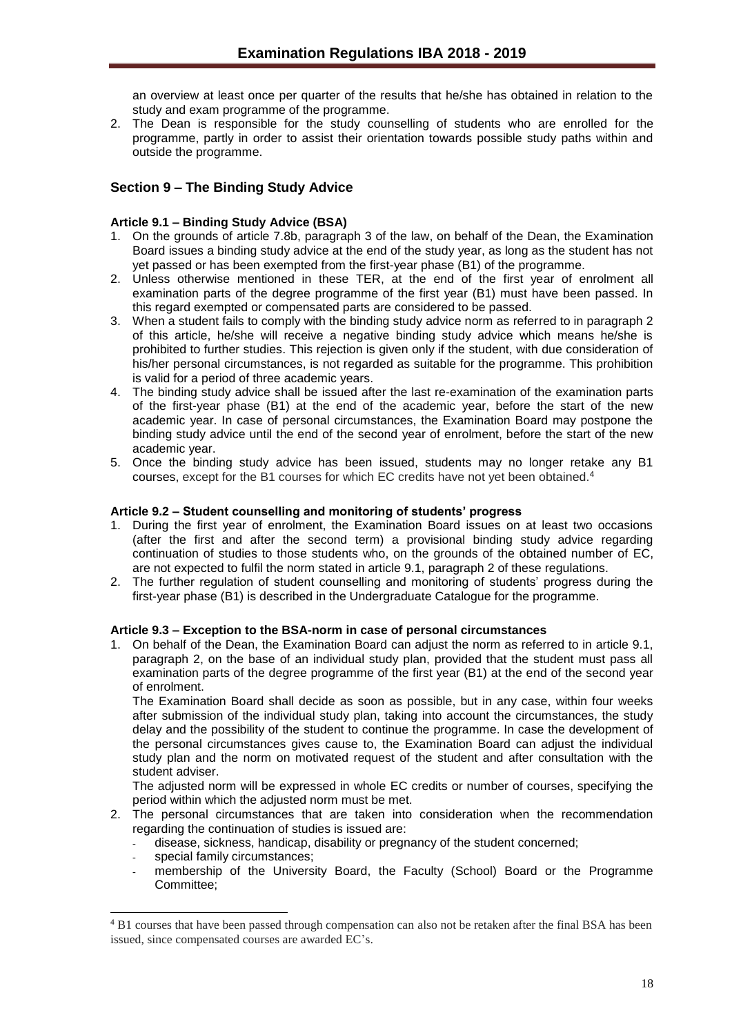an overview at least once per quarter of the results that he/she has obtained in relation to the study and exam programme of the programme.

2. The Dean is responsible for the study counselling of students who are enrolled for the programme, partly in order to assist their orientation towards possible study paths within and outside the programme.

## <span id="page-17-0"></span>**Section 9 – The Binding Study Advice**

## <span id="page-17-1"></span>**Article 9.1 – Binding Study Advice (BSA)**

- 1. On the grounds of article 7.8b, paragraph 3 of the law, on behalf of the Dean, the Examination Board issues a binding study advice at the end of the study year, as long as the student has not yet passed or has been exempted from the first-year phase (B1) of the programme.
- 2. Unless otherwise mentioned in these TER, at the end of the first year of enrolment all examination parts of the degree programme of the first year (B1) must have been passed. In this regard exempted or compensated parts are considered to be passed.
- 3. When a student fails to comply with the binding study advice norm as referred to in paragraph 2 of this article, he/she will receive a negative binding study advice which means he/she is prohibited to further studies. This rejection is given only if the student, with due consideration of his/her personal circumstances, is not regarded as suitable for the programme. This prohibition is valid for a period of three academic years.
- 4. The binding study advice shall be issued after the last re-examination of the examination parts of the first-year phase (B1) at the end of the academic year, before the start of the new academic year. In case of personal circumstances, the Examination Board may postpone the binding study advice until the end of the second year of enrolment, before the start of the new academic year.
- 5. Once the binding study advice has been issued, students may no longer retake any B1 courses, except for the B1 courses for which EC credits have not yet been obtained.<sup>4</sup>

## <span id="page-17-2"></span>**Article 9.2 – Student counselling and monitoring of students' progress**

- 1. During the first year of enrolment, the Examination Board issues on at least two occasions (after the first and after the second term) a provisional binding study advice regarding continuation of studies to those students who, on the grounds of the obtained number of EC, are not expected to fulfil the norm stated in article 9.1, paragraph 2 of these regulations.
- 2. The further regulation of student counselling and monitoring of students' progress during the first-year phase (B1) is described in the Undergraduate Catalogue for the programme.

## <span id="page-17-3"></span>**Article 9.3 – Exception to the BSA-norm in case of personal circumstances**

1. On behalf of the Dean, the Examination Board can adjust the norm as referred to in article 9.1, paragraph 2, on the base of an individual study plan, provided that the student must pass all examination parts of the degree programme of the first year (B1) at the end of the second year of enrolment.

The Examination Board shall decide as soon as possible, but in any case, within four weeks after submission of the individual study plan, taking into account the circumstances, the study delay and the possibility of the student to continue the programme. In case the development of the personal circumstances gives cause to, the Examination Board can adjust the individual study plan and the norm on motivated request of the student and after consultation with the student adviser.

The adjusted norm will be expressed in whole EC credits or number of courses, specifying the period within which the adjusted norm must be met.

- 2. The personal circumstances that are taken into consideration when the recommendation regarding the continuation of studies is issued are:
	- disease, sickness, handicap, disability or pregnancy of the student concerned;
	- special family circumstances:
	- membership of the University Board, the Faculty (School) Board or the Programme Committee;

l <sup>4</sup> B1 courses that have been passed through compensation can also not be retaken after the final BSA has been issued, since compensated courses are awarded EC's.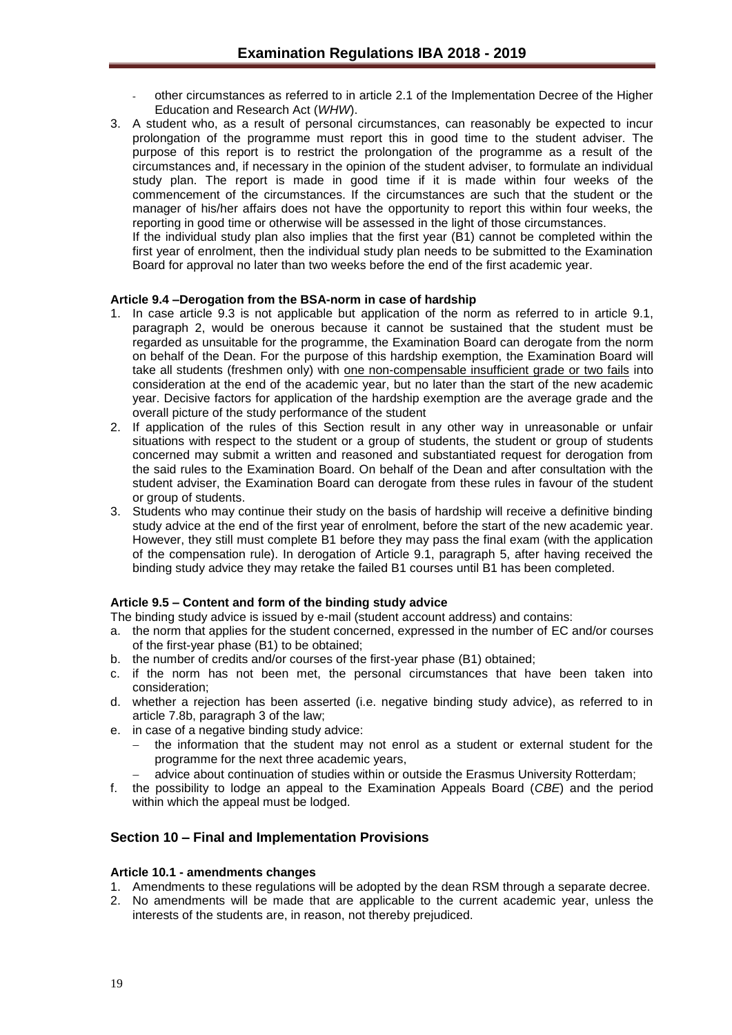- other circumstances as referred to in article 2.1 of the Implementation Decree of the Higher Education and Research Act (*WHW*).
- 3. A student who, as a result of personal circumstances, can reasonably be expected to incur prolongation of the programme must report this in good time to the student adviser. The purpose of this report is to restrict the prolongation of the programme as a result of the circumstances and, if necessary in the opinion of the student adviser, to formulate an individual study plan. The report is made in good time if it is made within four weeks of the commencement of the circumstances. If the circumstances are such that the student or the manager of his/her affairs does not have the opportunity to report this within four weeks, the reporting in good time or otherwise will be assessed in the light of those circumstances.

If the individual study plan also implies that the first year (B1) cannot be completed within the first year of enrolment, then the individual study plan needs to be submitted to the Examination Board for approval no later than two weeks before the end of the first academic year.

## <span id="page-18-0"></span>**Article 9.4 –Derogation from the BSA-norm in case of hardship**

- 1. In case article 9.3 is not applicable but application of the norm as referred to in article 9.1, paragraph 2, would be onerous because it cannot be sustained that the student must be regarded as unsuitable for the programme, the Examination Board can derogate from the norm on behalf of the Dean. For the purpose of this hardship exemption, the Examination Board will take all students (freshmen only) with one non-compensable insufficient grade or two fails into consideration at the end of the academic year, but no later than the start of the new academic year. Decisive factors for application of the hardship exemption are the average grade and the overall picture of the study performance of the student
- 2. If application of the rules of this Section result in any other way in unreasonable or unfair situations with respect to the student or a group of students, the student or group of students concerned may submit a written and reasoned and substantiated request for derogation from the said rules to the Examination Board. On behalf of the Dean and after consultation with the student adviser, the Examination Board can derogate from these rules in favour of the student or group of students.
- 3. Students who may continue their study on the basis of hardship will receive a definitive binding study advice at the end of the first year of enrolment, before the start of the new academic year. However, they still must complete B1 before they may pass the final exam (with the application of the compensation rule). In derogation of Article 9.1, paragraph 5, after having received the binding study advice they may retake the failed B1 courses until B1 has been completed.

#### <span id="page-18-1"></span>**Article 9.5 – Content and form of the binding study advice**

- The binding study advice is issued by e-mail (student account address) and contains:
- a. the norm that applies for the student concerned, expressed in the number of EC and/or courses of the first-year phase (B1) to be obtained;
- b. the number of credits and/or courses of the first-year phase (B1) obtained;
- c. if the norm has not been met, the personal circumstances that have been taken into consideration;
- d. whether a rejection has been asserted (i.e. negative binding study advice), as referred to in article 7.8b, paragraph 3 of the law;
- e. in case of a negative binding study advice:
	- the information that the student may not enrol as a student or external student for the programme for the next three academic years,
		- advice about continuation of studies within or outside the Erasmus University Rotterdam;
- f. the possibility to lodge an appeal to the Examination Appeals Board (*CBE*) and the period within which the appeal must be lodged.

## <span id="page-18-2"></span>**Section 10 – Final and Implementation Provisions**

#### <span id="page-18-3"></span>**Article 10.1 - amendments changes**

- 1. Amendments to these regulations will be adopted by the dean RSM through a separate decree.
- 2. No amendments will be made that are applicable to the current academic year, unless the interests of the students are, in reason, not thereby prejudiced.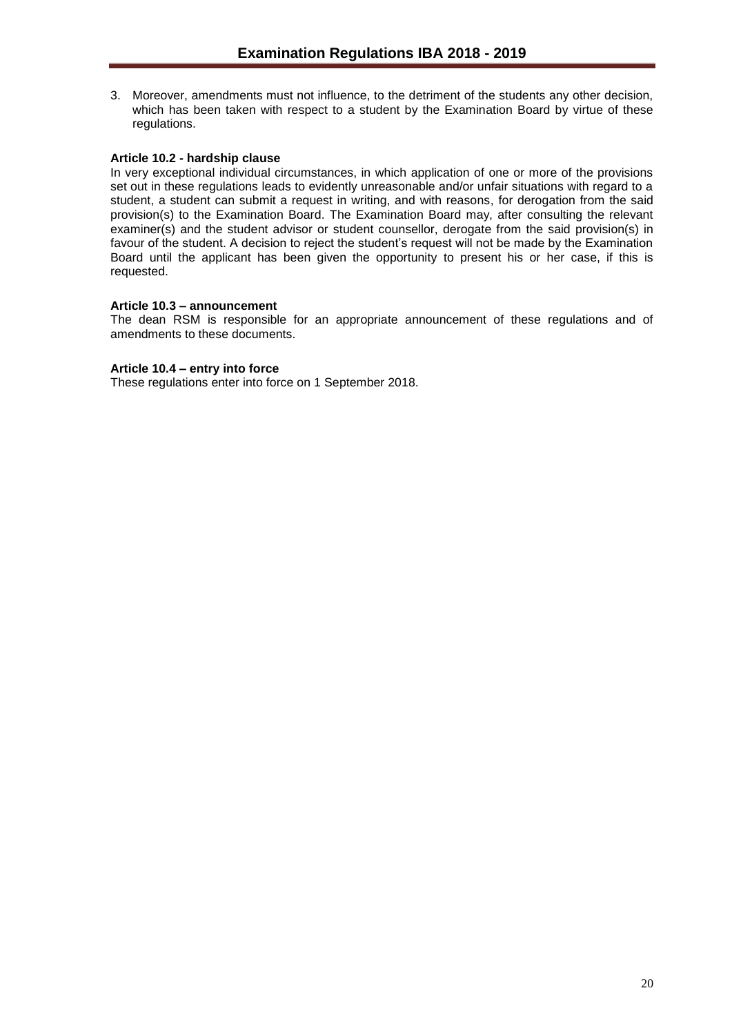3. Moreover, amendments must not influence, to the detriment of the students any other decision, which has been taken with respect to a student by the Examination Board by virtue of these regulations.

## <span id="page-19-0"></span>**Article 10.2 - hardship clause**

In very exceptional individual circumstances, in which application of one or more of the provisions set out in these regulations leads to evidently unreasonable and/or unfair situations with regard to a student, a student can submit a request in writing, and with reasons, for derogation from the said provision(s) to the Examination Board. The Examination Board may, after consulting the relevant examiner(s) and the student advisor or student counsellor, derogate from the said provision(s) in favour of the student. A decision to reject the student's request will not be made by the Examination Board until the applicant has been given the opportunity to present his or her case, if this is requested.

## <span id="page-19-1"></span>**Article 10.3 – announcement**

The dean RSM is responsible for an appropriate announcement of these regulations and of amendments to these documents.

## <span id="page-19-2"></span>**Article 10.4 – entry into force**

These regulations enter into force on 1 September 2018.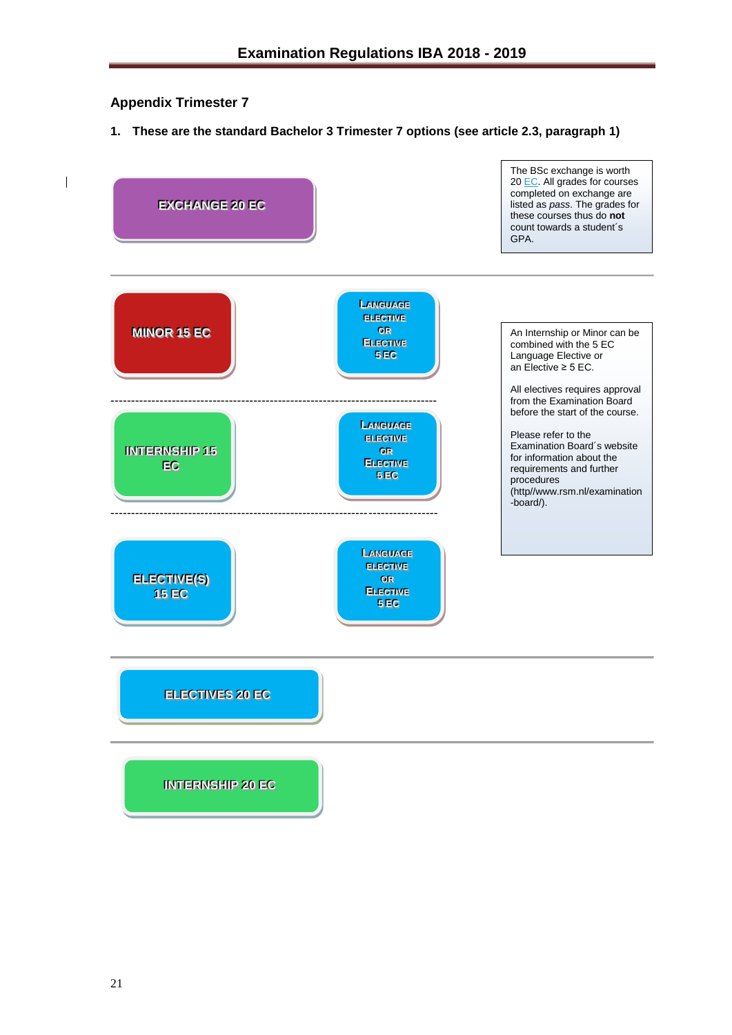## <span id="page-20-0"></span>**Appendix Trimester 7**

**1. These are the standard Bachelor 3 Trimester 7 options (see article 2.3, paragraph 1)**

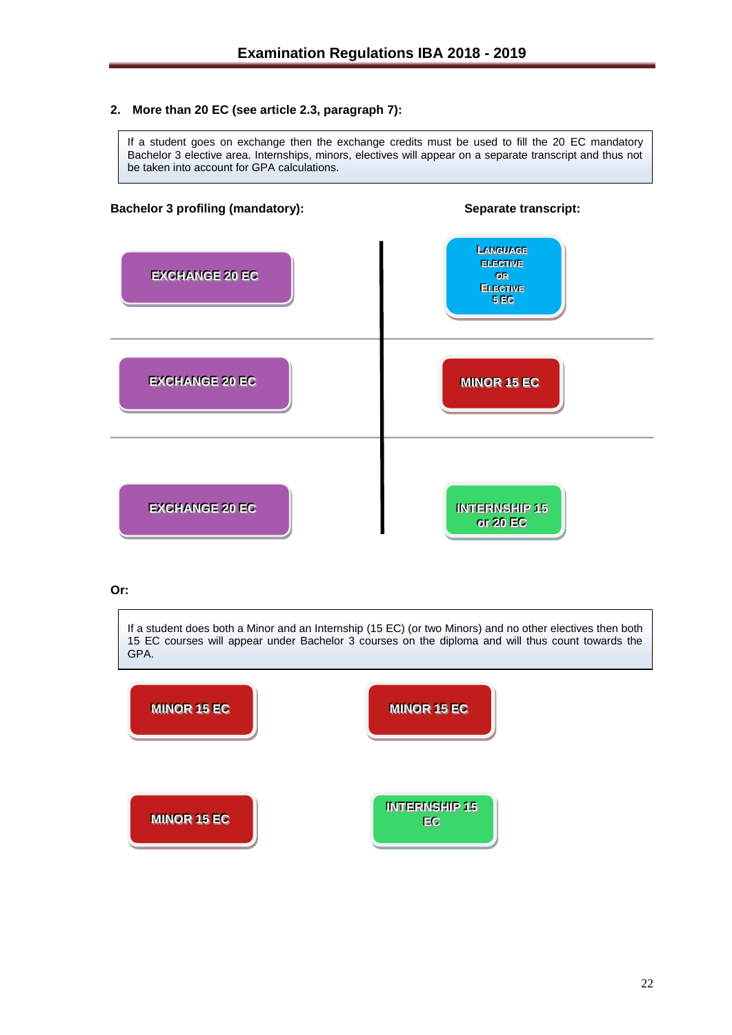## **2. More than 20 EC (see article 2.3, paragraph 7):**

If a student goes on exchange then the exchange credits must be used to fill the 20 EC mandatory Bachelor 3 elective area. Internships, minors, electives will appear on a separate transcript and thus not be taken into account for GPA calculations.

## **Bachelor 3 profiling (mandatory): Separate transcript:**



## **Or:**

If a student does both a Minor and an Internship (15 EC) (or two Minors) and no other electives then both 15 EC courses will appear under Bachelor 3 courses on the diploma and will thus count towards the GPA.

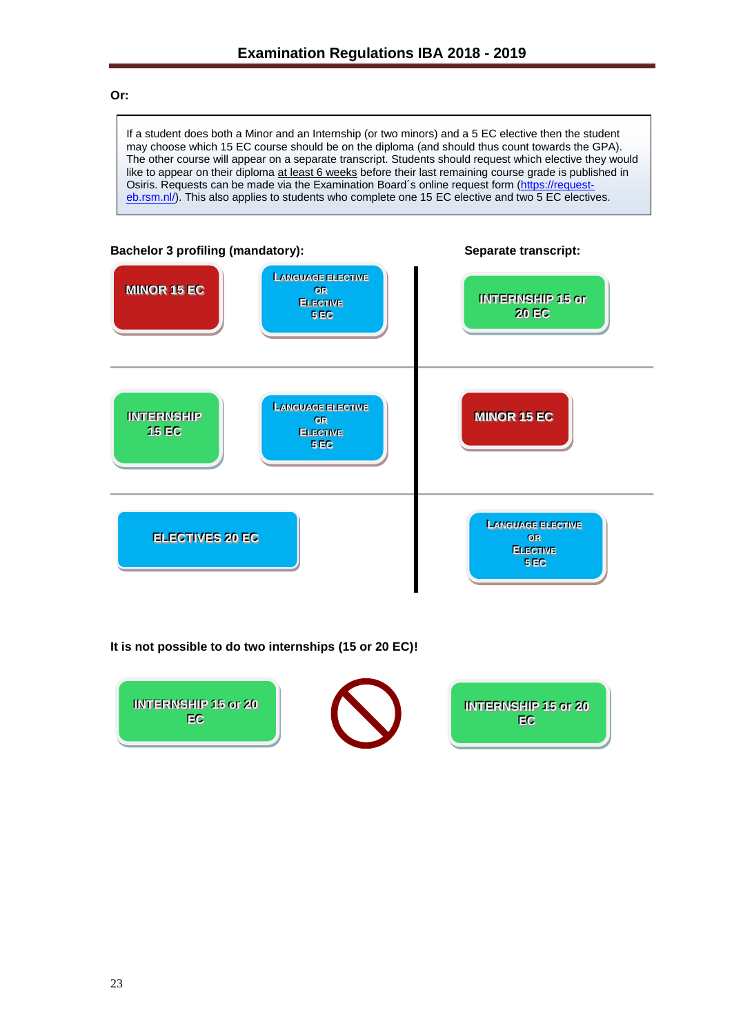## **Or:**

If a student does both a Minor and an Internship (or two minors) and a 5 EC elective then the student may choose which 15 EC course should be on the diploma (and should thus count towards the GPA). The other course will appear on a separate transcript. Students should request which elective they would like to appear on their diploma at least 6 weeks before their last remaining course grade is published in Osiris. Requests can be made via the Examination Board's online request form [\(https://request](https://request-eb.rsm.nl/)[eb.rsm.nl/\)](https://request-eb.rsm.nl/). This also applies to students who complete one 15 EC elective and two 5 EC electives.



**It is not possible to do two internships (15 or 20 EC)!** 

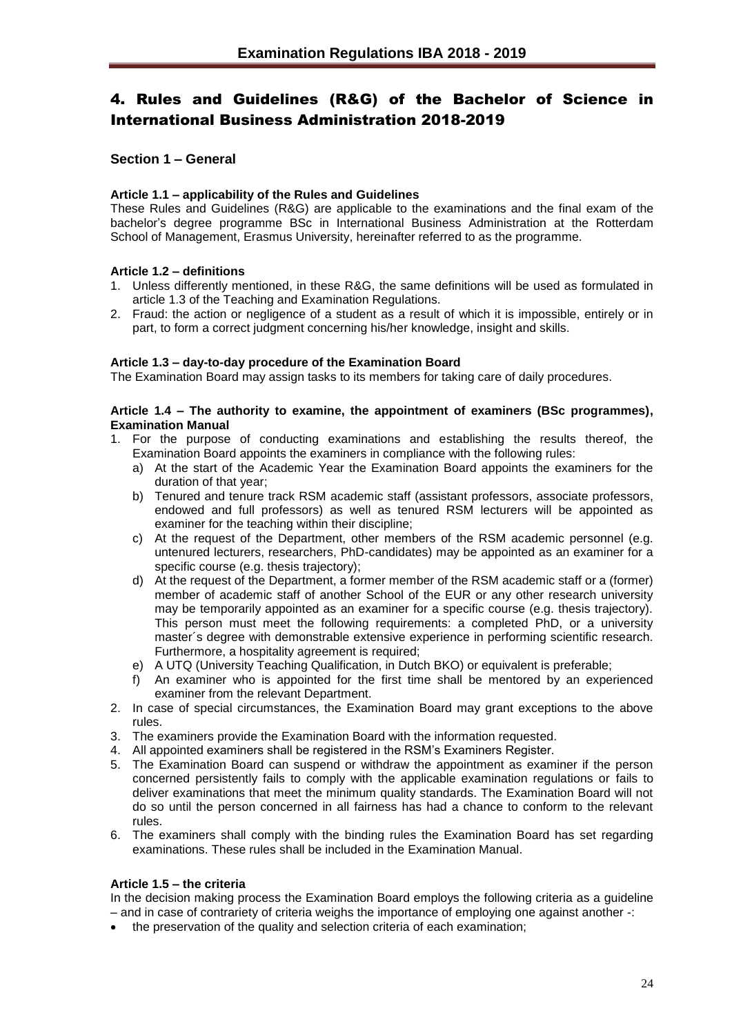# <span id="page-23-0"></span>4. Rules and Guidelines (R&G) of the Bachelor of Science in International Business Administration 2018-2019

## <span id="page-23-1"></span>**Section 1 – General**

## <span id="page-23-2"></span>**Article 1.1 – applicability of the Rules and Guidelines**

These Rules and Guidelines (R&G) are applicable to the examinations and the final exam of the bachelor's degree programme BSc in International Business Administration at the Rotterdam School of Management, Erasmus University, hereinafter referred to as the programme.

## <span id="page-23-3"></span>**Article 1.2 – definitions**

- 1. Unless differently mentioned, in these R&G, the same definitions will be used as formulated in article 1.3 of the Teaching and Examination Regulations.
- 2. Fraud: the action or negligence of a student as a result of which it is impossible, entirely or in part, to form a correct judgment concerning his/her knowledge, insight and skills.

## <span id="page-23-4"></span>**Article 1.3 – day-to-day procedure of the Examination Board**

The Examination Board may assign tasks to its members for taking care of daily procedures.

### <span id="page-23-5"></span>**Article 1.4 – The authority to examine, the appointment of examiners (BSc programmes), Examination Manual**

- 1. For the purpose of conducting examinations and establishing the results thereof, the Examination Board appoints the examiners in compliance with the following rules:
	- a) At the start of the Academic Year the Examination Board appoints the examiners for the duration of that year;
	- b) Tenured and tenure track RSM academic staff (assistant professors, associate professors, endowed and full professors) as well as tenured RSM lecturers will be appointed as examiner for the teaching within their discipline;
	- c) At the request of the Department, other members of the RSM academic personnel (e.g. untenured lecturers, researchers, PhD-candidates) may be appointed as an examiner for a specific course (e.g. thesis trajectory);
	- d) At the request of the Department, a former member of the RSM academic staff or a (former) member of academic staff of another School of the EUR or any other research university may be temporarily appointed as an examiner for a specific course (e.g. thesis trajectory). This person must meet the following requirements: a completed PhD, or a university master´s degree with demonstrable extensive experience in performing scientific research. Furthermore, a hospitality agreement is required;
	- e) A UTQ (University Teaching Qualification, in Dutch BKO) or equivalent is preferable;
	- f) An examiner who is appointed for the first time shall be mentored by an experienced examiner from the relevant Department.
- 2. In case of special circumstances, the Examination Board may grant exceptions to the above rules.
- 3. The examiners provide the Examination Board with the information requested.
- 4. All appointed examiners shall be registered in the RSM's Examiners Register.
- 5. The Examination Board can suspend or withdraw the appointment as examiner if the person concerned persistently fails to comply with the applicable examination regulations or fails to deliver examinations that meet the minimum quality standards. The Examination Board will not do so until the person concerned in all fairness has had a chance to conform to the relevant rules.
- 6. The examiners shall comply with the binding rules the Examination Board has set regarding examinations. These rules shall be included in the Examination Manual.

## <span id="page-23-6"></span>**Article 1.5 – the criteria**

In the decision making process the Examination Board employs the following criteria as a guideline – and in case of contrariety of criteria weighs the importance of employing one against another -:

• the preservation of the quality and selection criteria of each examination;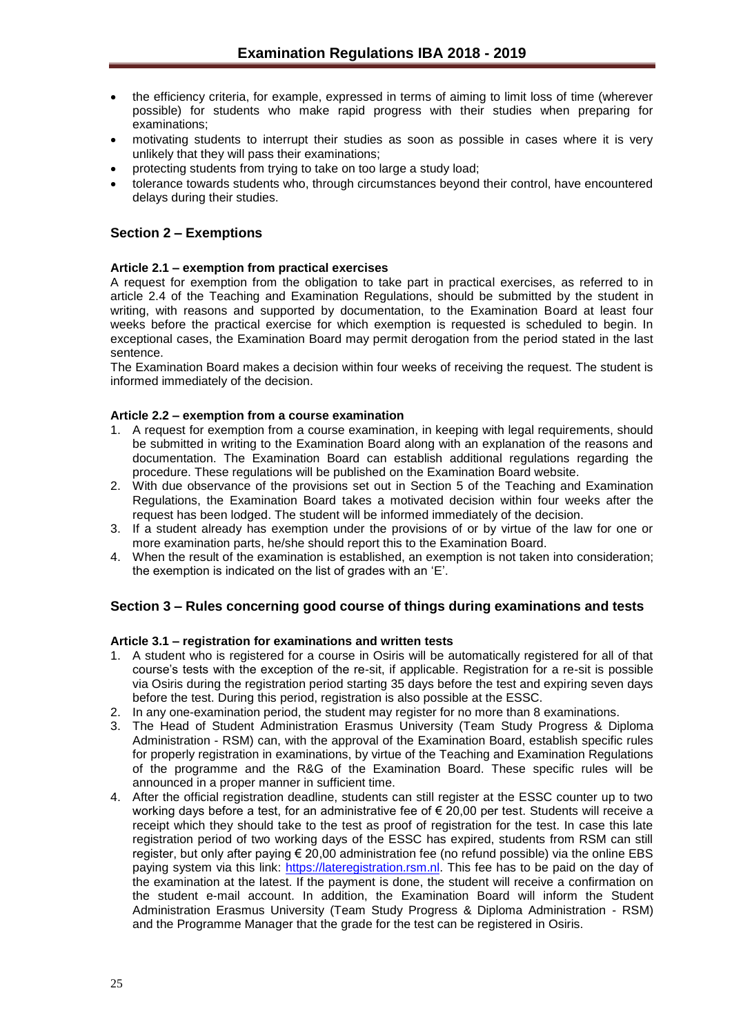- the efficiency criteria, for example, expressed in terms of aiming to limit loss of time (wherever possible) for students who make rapid progress with their studies when preparing for examinations;
- motivating students to interrupt their studies as soon as possible in cases where it is very unlikely that they will pass their examinations;
- protecting students from trying to take on too large a study load;
- tolerance towards students who, through circumstances beyond their control, have encountered delays during their studies.

## <span id="page-24-0"></span>**Section 2 – Exemptions**

## <span id="page-24-1"></span>**Article 2.1 – exemption from practical exercises**

A request for exemption from the obligation to take part in practical exercises, as referred to in article 2.4 of the Teaching and Examination Regulations, should be submitted by the student in writing, with reasons and supported by documentation, to the Examination Board at least four weeks before the practical exercise for which exemption is requested is scheduled to begin. In exceptional cases, the Examination Board may permit derogation from the period stated in the last sentence.

The Examination Board makes a decision within four weeks of receiving the request. The student is informed immediately of the decision.

## <span id="page-24-2"></span>**Article 2.2 – exemption from a course examination**

- 1. A request for exemption from a course examination, in keeping with legal requirements, should be submitted in writing to the Examination Board along with an explanation of the reasons and documentation. The Examination Board can establish additional regulations regarding the procedure. These regulations will be published on the Examination Board website.
- 2. With due observance of the provisions set out in Section 5 of the Teaching and Examination Regulations, the Examination Board takes a motivated decision within four weeks after the request has been lodged. The student will be informed immediately of the decision.
- 3. If a student already has exemption under the provisions of or by virtue of the law for one or more examination parts, he/she should report this to the Examination Board.
- 4. When the result of the examination is established, an exemption is not taken into consideration; the exemption is indicated on the list of grades with an 'E'.

## <span id="page-24-3"></span>**Section 3 – Rules concerning good course of things during examinations and tests**

## <span id="page-24-4"></span>**Article 3.1 – registration for examinations and written tests**

- 1. A student who is registered for a course in Osiris will be automatically registered for all of that course's tests with the exception of the re-sit, if applicable. Registration for a re-sit is possible via Osiris during the registration period starting 35 days before the test and expiring seven days before the test. During this period, registration is also possible at the ESSC.
- 2. In any one-examination period, the student may register for no more than 8 examinations.
- 3. The Head of Student Administration Erasmus University (Team Study Progress & Diploma Administration - RSM) can, with the approval of the Examination Board, establish specific rules for properly registration in examinations, by virtue of the Teaching and Examination Regulations of the programme and the R&G of the Examination Board. These specific rules will be announced in a proper manner in sufficient time.
- 4. After the official registration deadline, students can still register at the ESSC counter up to two working days before a test, for an administrative fee of € 20,00 per test. Students will receive a receipt which they should take to the test as proof of registration for the test. In case this late registration period of two working days of the ESSC has expired, students from RSM can still register, but only after paying € 20,00 administration fee (no refund possible) via the online EBS paying system via this link: [https://lateregistration.rsm.nl.](https://lateregistration.rsm.nl/) This fee has to be paid on the day of the examination at the latest. If the payment is done, the student will receive a confirmation on the student e-mail account. In addition, the Examination Board will inform the Student Administration Erasmus University (Team Study Progress & Diploma Administration - RSM) and the Programme Manager that the grade for the test can be registered in Osiris.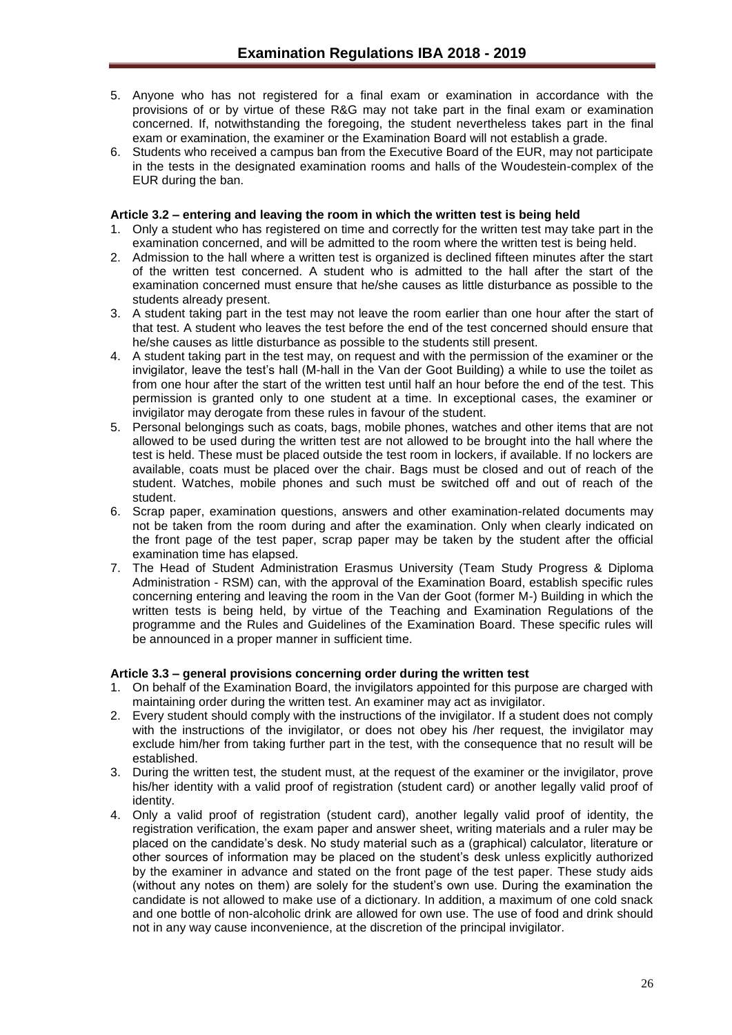- 5. Anyone who has not registered for a final exam or examination in accordance with the provisions of or by virtue of these R&G may not take part in the final exam or examination concerned. If, notwithstanding the foregoing, the student nevertheless takes part in the final exam or examination, the examiner or the Examination Board will not establish a grade.
- 6. Students who received a campus ban from the Executive Board of the EUR, may not participate in the tests in the designated examination rooms and halls of the Woudestein-complex of the EUR during the ban.

## <span id="page-25-0"></span>**Article 3.2 – entering and leaving the room in which the written test is being held**

- 1. Only a student who has registered on time and correctly for the written test may take part in the examination concerned, and will be admitted to the room where the written test is being held.
- 2. Admission to the hall where a written test is organized is declined fifteen minutes after the start of the written test concerned. A student who is admitted to the hall after the start of the examination concerned must ensure that he/she causes as little disturbance as possible to the students already present.
- 3. A student taking part in the test may not leave the room earlier than one hour after the start of that test. A student who leaves the test before the end of the test concerned should ensure that he/she causes as little disturbance as possible to the students still present.
- 4. A student taking part in the test may, on request and with the permission of the examiner or the invigilator, leave the test's hall (M-hall in the Van der Goot Building) a while to use the toilet as from one hour after the start of the written test until half an hour before the end of the test. This permission is granted only to one student at a time. In exceptional cases, the examiner or invigilator may derogate from these rules in favour of the student.
- 5. Personal belongings such as coats, bags, mobile phones, watches and other items that are not allowed to be used during the written test are not allowed to be brought into the hall where the test is held. These must be placed outside the test room in lockers, if available. If no lockers are available, coats must be placed over the chair. Bags must be closed and out of reach of the student. Watches, mobile phones and such must be switched off and out of reach of the student.
- 6. Scrap paper, examination questions, answers and other examination-related documents may not be taken from the room during and after the examination. Only when clearly indicated on the front page of the test paper, scrap paper may be taken by the student after the official examination time has elapsed.
- 7. The Head of Student Administration Erasmus University (Team Study Progress & Diploma Administration - RSM) can, with the approval of the Examination Board, establish specific rules concerning entering and leaving the room in the Van der Goot (former M-) Building in which the written tests is being held, by virtue of the Teaching and Examination Regulations of the programme and the Rules and Guidelines of the Examination Board. These specific rules will be announced in a proper manner in sufficient time.

## <span id="page-25-1"></span>**Article 3.3 – general provisions concerning order during the written test**

- 1. On behalf of the Examination Board, the invigilators appointed for this purpose are charged with maintaining order during the written test. An examiner may act as invigilator.
- 2. Every student should comply with the instructions of the invigilator. If a student does not comply with the instructions of the invigilator, or does not obey his /her request, the invigilator may exclude him/her from taking further part in the test, with the consequence that no result will be established.
- 3. During the written test, the student must, at the request of the examiner or the invigilator, prove his/her identity with a valid proof of registration (student card) or another legally valid proof of identity.
- 4. Only a valid proof of registration (student card), another legally valid proof of identity, the registration verification, the exam paper and answer sheet, writing materials and a ruler may be placed on the candidate's desk. No study material such as a (graphical) calculator, literature or other sources of information may be placed on the student's desk unless explicitly authorized by the examiner in advance and stated on the front page of the test paper. These study aids (without any notes on them) are solely for the student's own use. During the examination the candidate is not allowed to make use of a dictionary. In addition, a maximum of one cold snack and one bottle of non-alcoholic drink are allowed for own use. The use of food and drink should not in any way cause inconvenience, at the discretion of the principal invigilator.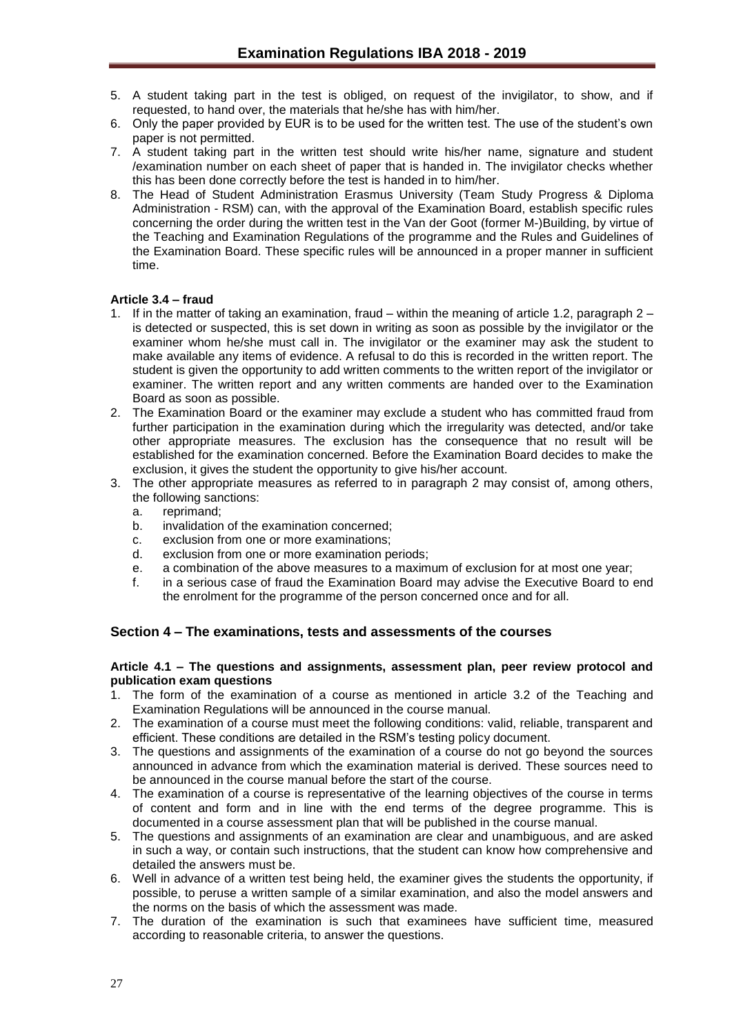- 5. A student taking part in the test is obliged, on request of the invigilator, to show, and if requested, to hand over, the materials that he/she has with him/her.
- 6. Only the paper provided by EUR is to be used for the written test. The use of the student's own paper is not permitted.
- 7. A student taking part in the written test should write his/her name, signature and student /examination number on each sheet of paper that is handed in. The invigilator checks whether this has been done correctly before the test is handed in to him/her.
- 8. The Head of Student Administration Erasmus University (Team Study Progress & Diploma Administration - RSM) can, with the approval of the Examination Board, establish specific rules concerning the order during the written test in the Van der Goot (former M-)Building, by virtue of the Teaching and Examination Regulations of the programme and the Rules and Guidelines of the Examination Board. These specific rules will be announced in a proper manner in sufficient time.

## <span id="page-26-0"></span>**Article 3.4 – fraud**

- 1. If in the matter of taking an examination, fraud within the meaning of article 1.2, paragraph 2 is detected or suspected, this is set down in writing as soon as possible by the invigilator or the examiner whom he/she must call in. The invigilator or the examiner may ask the student to make available any items of evidence. A refusal to do this is recorded in the written report. The student is given the opportunity to add written comments to the written report of the invigilator or examiner. The written report and any written comments are handed over to the Examination Board as soon as possible.
- 2. The Examination Board or the examiner may exclude a student who has committed fraud from further participation in the examination during which the irregularity was detected, and/or take other appropriate measures. The exclusion has the consequence that no result will be established for the examination concerned. Before the Examination Board decides to make the exclusion, it gives the student the opportunity to give his/her account.
- 3. The other appropriate measures as referred to in paragraph 2 may consist of, among others, the following sanctions:
	- a. reprimand;
	- b. invalidation of the examination concerned;
	- c. exclusion from one or more examinations;
	- d. exclusion from one or more examination periods;
	- e. a combination of the above measures to a maximum of exclusion for at most one year;
	- f. in a serious case of fraud the Examination Board may advise the Executive Board to end the enrolment for the programme of the person concerned once and for all.

## <span id="page-26-1"></span>**Section 4 – The examinations, tests and assessments of the courses**

#### <span id="page-26-2"></span>**Article 4.1 – The questions and assignments, assessment plan, peer review protocol and publication exam questions**

- 1. The form of the examination of a course as mentioned in article 3.2 of the Teaching and Examination Regulations will be announced in the course manual.
- 2. The examination of a course must meet the following conditions: valid, reliable, transparent and efficient. These conditions are detailed in the RSM's testing policy document.
- 3. The questions and assignments of the examination of a course do not go beyond the sources announced in advance from which the examination material is derived. These sources need to be announced in the course manual before the start of the course.
- 4. The examination of a course is representative of the learning objectives of the course in terms of content and form and in line with the end terms of the degree programme. This is documented in a course assessment plan that will be published in the course manual.
- 5. The questions and assignments of an examination are clear and unambiguous, and are asked in such a way, or contain such instructions, that the student can know how comprehensive and detailed the answers must be.
- 6. Well in advance of a written test being held, the examiner gives the students the opportunity, if possible, to peruse a written sample of a similar examination, and also the model answers and the norms on the basis of which the assessment was made.
- 7. The duration of the examination is such that examinees have sufficient time, measured according to reasonable criteria, to answer the questions.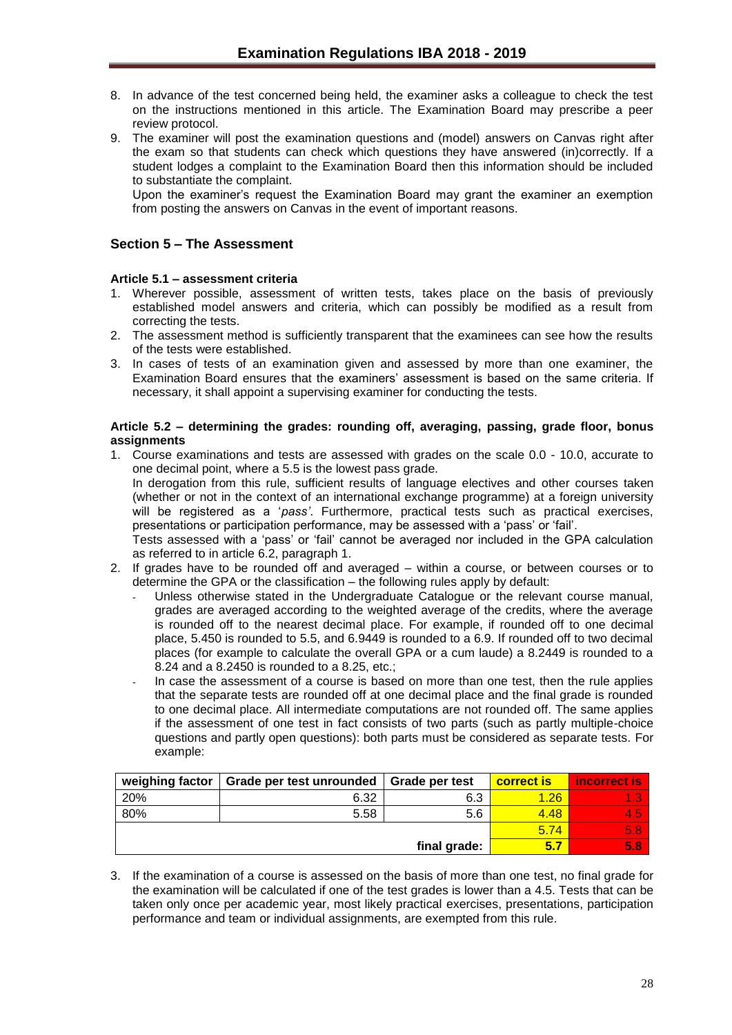- 8. In advance of the test concerned being held, the examiner asks a colleague to check the test on the instructions mentioned in this article. The Examination Board may prescribe a peer review protocol.
- 9. The examiner will post the examination questions and (model) answers on Canvas right after the exam so that students can check which questions they have answered (in)correctly. If a student lodges a complaint to the Examination Board then this information should be included to substantiate the complaint.

Upon the examiner's request the Examination Board may grant the examiner an exemption from posting the answers on Canvas in the event of important reasons.

## <span id="page-27-0"></span>**Section 5 – The Assessment**

## <span id="page-27-1"></span>**Article 5.1 – assessment criteria**

- 1. Wherever possible, assessment of written tests, takes place on the basis of previously established model answers and criteria, which can possibly be modified as a result from correcting the tests.
- 2. The assessment method is sufficiently transparent that the examinees can see how the results of the tests were established.
- 3. In cases of tests of an examination given and assessed by more than one examiner, the Examination Board ensures that the examiners' assessment is based on the same criteria. If necessary, it shall appoint a supervising examiner for conducting the tests.

## <span id="page-27-2"></span>**Article 5.2 – determining the grades: rounding off, averaging, passing, grade floor, bonus assignments**

1. Course examinations and tests are assessed with grades on the scale 0.0 - 10.0, accurate to one decimal point, where a 5.5 is the lowest pass grade*.*  In derogation from this rule, sufficient results of language electives and other courses taken

(whether or not in the context of an international exchange programme) at a foreign university will be registered as a '*pass'*. Furthermore, practical tests such as practical exercises, presentations or participation performance, may be assessed with a 'pass' or 'fail'.

Tests assessed with a 'pass' or 'fail' cannot be averaged nor included in the GPA calculation as referred to in article 6.2, paragraph 1.

- 2. If grades have to be rounded off and averaged within a course, or between courses or to determine the GPA or the classification – the following rules apply by default:
	- Unless otherwise stated in the Undergraduate Catalogue or the relevant course manual, grades are averaged according to the weighted average of the credits, where the average is rounded off to the nearest decimal place. For example, if rounded off to one decimal place, 5.450 is rounded to 5.5, and 6.9449 is rounded to a 6.9. If rounded off to two decimal places (for example to calculate the overall GPA or a cum laude) a 8.2449 is rounded to a 8.24 and a 8.2450 is rounded to a 8.25, etc.;
	- In case the assessment of a course is based on more than one test, then the rule applies that the separate tests are rounded off at one decimal place and the final grade is rounded to one decimal place. All intermediate computations are not rounded off. The same applies if the assessment of one test in fact consists of two parts (such as partly multiple-choice questions and partly open questions): both parts must be considered as separate tests. For example:

| weighing factor | Grade per test unrounded | Grade per test | <b>correct is</b> | incorrect is |
|-----------------|--------------------------|----------------|-------------------|--------------|
| 20%             | 6.32                     | 6.3            | 1.26              |              |
| 80%             | 5.58                     | 5.6            | 4.48              | 4.5          |
|                 |                          |                | 5.74              | 5.8          |
|                 |                          | final grade:   | 5.7               | <b>5.8</b>   |

3. If the examination of a course is assessed on the basis of more than one test, no final grade for the examination will be calculated if one of the test grades is lower than a 4.5. Tests that can be taken only once per academic year, most likely practical exercises, presentations, participation performance and team or individual assignments, are exempted from this rule.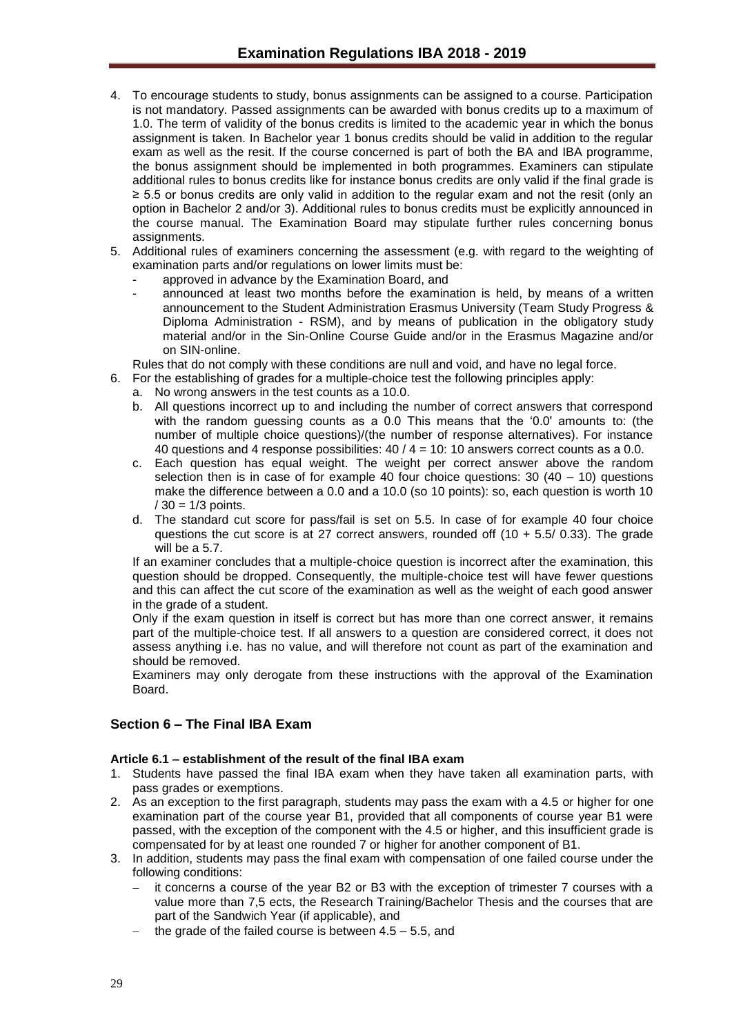- 4. To encourage students to study, bonus assignments can be assigned to a course. Participation is not mandatory. Passed assignments can be awarded with bonus credits up to a maximum of 1.0. The term of validity of the bonus credits is limited to the academic year in which the bonus assignment is taken. In Bachelor year 1 bonus credits should be valid in addition to the regular exam as well as the resit. If the course concerned is part of both the BA and IBA programme, the bonus assignment should be implemented in both programmes. Examiners can stipulate additional rules to bonus credits like for instance bonus credits are only valid if the final grade is ≥ 5.5 or bonus credits are only valid in addition to the regular exam and not the resit (only an option in Bachelor 2 and/or 3). Additional rules to bonus credits must be explicitly announced in the course manual. The Examination Board may stipulate further rules concerning bonus assignments.
- 5. Additional rules of examiners concerning the assessment (e.g. with regard to the weighting of examination parts and/or regulations on lower limits must be:
	- approved in advance by the Examination Board, and
	- announced at least two months before the examination is held, by means of a written announcement to the Student Administration Erasmus University (Team Study Progress & Diploma Administration - RSM), and by means of publication in the obligatory study material and/or in the Sin-Online Course Guide and/or in the Erasmus Magazine and/or on SIN-online.
	- Rules that do not comply with these conditions are null and void, and have no legal force.
- 6. For the establishing of grades for a multiple-choice test the following principles apply:
	- a. No wrong answers in the test counts as a 10.0.
	- b. All questions incorrect up to and including the number of correct answers that correspond with the random guessing counts as a 0.0 This means that the '0.0' amounts to: (the number of multiple choice questions)/(the number of response alternatives). For instance 40 questions and 4 response possibilities: 40 / 4 = 10: 10 answers correct counts as a 0.0.
	- c. Each question has equal weight. The weight per correct answer above the random selection then is in case of for example 40 four choice questions:  $30 (40 - 10)$  questions make the difference between a 0.0 and a 10.0 (so 10 points): so, each question is worth 10  $/ 30 = 1/3$  points.
	- d. The standard cut score for pass/fail is set on 5.5. In case of for example 40 four choice questions the cut score is at 27 correct answers, rounded off  $(10 + 5.5/ 0.33)$ . The grade will be a 5.7.

If an examiner concludes that a multiple-choice question is incorrect after the examination, this question should be dropped. Consequently, the multiple-choice test will have fewer questions and this can affect the cut score of the examination as well as the weight of each good answer in the grade of a student.

Only if the exam question in itself is correct but has more than one correct answer, it remains part of the multiple-choice test. If all answers to a question are considered correct, it does not assess anything i.e. has no value, and will therefore not count as part of the examination and should be removed.

Examiners may only derogate from these instructions with the approval of the Examination Board.

## <span id="page-28-0"></span>**Section 6 – The Final IBA Exam**

#### <span id="page-28-1"></span>**Article 6.1 – establishment of the result of the final IBA exam**

- 1. Students have passed the final IBA exam when they have taken all examination parts, with pass grades or exemptions.
- 2. As an exception to the first paragraph, students may pass the exam with a 4.5 or higher for one examination part of the course year B1, provided that all components of course year B1 were passed, with the exception of the component with the 4.5 or higher, and this insufficient grade is compensated for by at least one rounded 7 or higher for another component of B1.
- 3. In addition, students may pass the final exam with compensation of one failed course under the following conditions:
	- it concerns a course of the year B2 or B3 with the exception of trimester 7 courses with a value more than 7,5 ects, the Research Training/Bachelor Thesis and the courses that are part of the Sandwich Year (if applicable), and
	- the grade of the failed course is between 4.5 5.5, and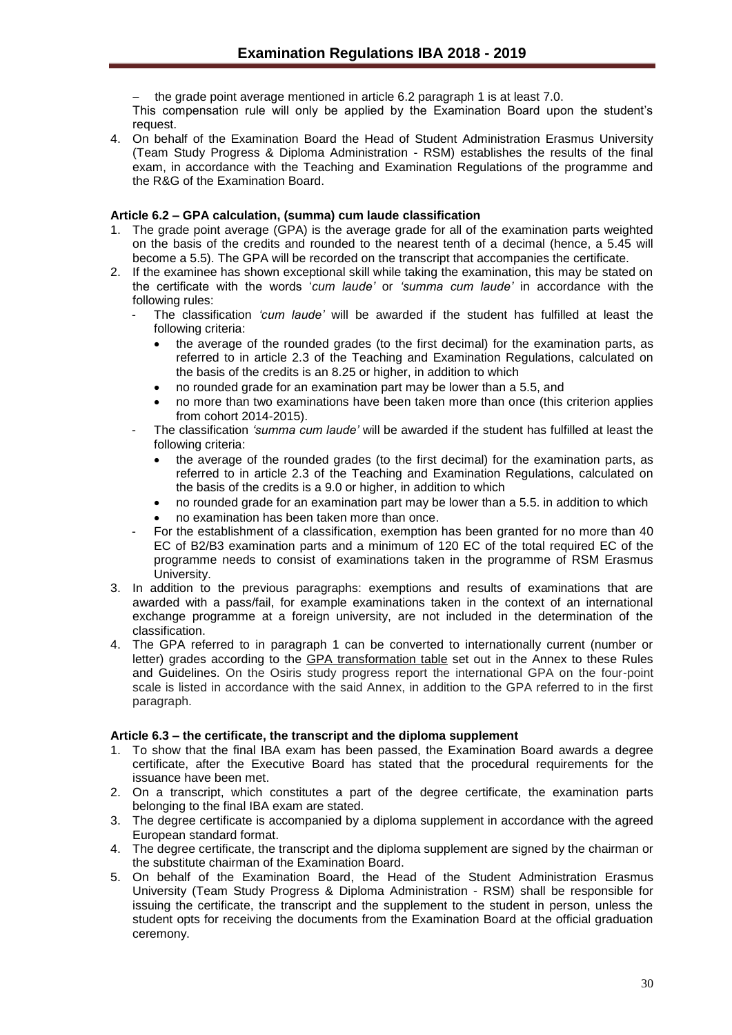the grade point average mentioned in article 6.2 paragraph 1 is at least 7.0.

This compensation rule will only be applied by the Examination Board upon the student's request.

4. On behalf of the Examination Board the Head of Student Administration Erasmus University (Team Study Progress & Diploma Administration - RSM) establishes the results of the final exam, in accordance with the Teaching and Examination Regulations of the programme and the R&G of the Examination Board.

## <span id="page-29-0"></span>**Article 6.2 – GPA calculation, (summa) cum laude classification**

- 1. The grade point average (GPA) is the average grade for all of the examination parts weighted on the basis of the credits and rounded to the nearest tenth of a decimal (hence, a 5.45 will become a 5.5). The GPA will be recorded on the transcript that accompanies the certificate.
- 2. If the examinee has shown exceptional skill while taking the examination, this may be stated on the certificate with the words '*cum laude'* or *'summa cum laude'* in accordance with the following rules:
	- The classification *'cum laude'* will be awarded if the student has fulfilled at least the following criteria:
		- the average of the rounded grades (to the first decimal) for the examination parts, as referred to in article 2.3 of the Teaching and Examination Regulations, calculated on the basis of the credits is an 8.25 or higher, in addition to which
		- no rounded grade for an examination part may be lower than a 5.5, and
		- no more than two examinations have been taken more than once (this criterion applies from cohort 2014-2015).
	- The classification *'summa cum laude'* will be awarded if the student has fulfilled at least the following criteria:
		- the average of the rounded grades (to the first decimal) for the examination parts, as referred to in article 2.3 of the Teaching and Examination Regulations, calculated on the basis of the credits is a 9.0 or higher, in addition to which
		- no rounded grade for an examination part may be lower than a 5.5. in addition to which
		- no examination has been taken more than once.
	- For the establishment of a classification, exemption has been granted for no more than 40 EC of B2/B3 examination parts and a minimum of 120 EC of the total required EC of the programme needs to consist of examinations taken in the programme of RSM Erasmus University.
- 3. In addition to the previous paragraphs: exemptions and results of examinations that are awarded with a pass/fail, for example examinations taken in the context of an international exchange programme at a foreign university, are not included in the determination of the classification.
- 4. The GPA referred to in paragraph 1 can be converted to internationally current (number or letter) grades according to the GPA transformation table set out in the Annex to these Rules and Guidelines. On the Osiris study progress report the international GPA on the four-point scale is listed in accordance with the said Annex, in addition to the GPA referred to in the first paragraph.

## <span id="page-29-1"></span>**Article 6.3 – the certificate, the transcript and the diploma supplement**

- 1. To show that the final IBA exam has been passed, the Examination Board awards a degree certificate, after the Executive Board has stated that the procedural requirements for the issuance have been met.
- 2. On a transcript, which constitutes a part of the degree certificate, the examination parts belonging to the final IBA exam are stated.
- 3. The degree certificate is accompanied by a diploma supplement in accordance with the agreed European standard format.
- 4. The degree certificate, the transcript and the diploma supplement are signed by the chairman or the substitute chairman of the Examination Board.
- 5. On behalf of the Examination Board, the Head of the Student Administration Erasmus University (Team Study Progress & Diploma Administration - RSM) shall be responsible for issuing the certificate, the transcript and the supplement to the student in person, unless the student opts for receiving the documents from the Examination Board at the official graduation ceremony.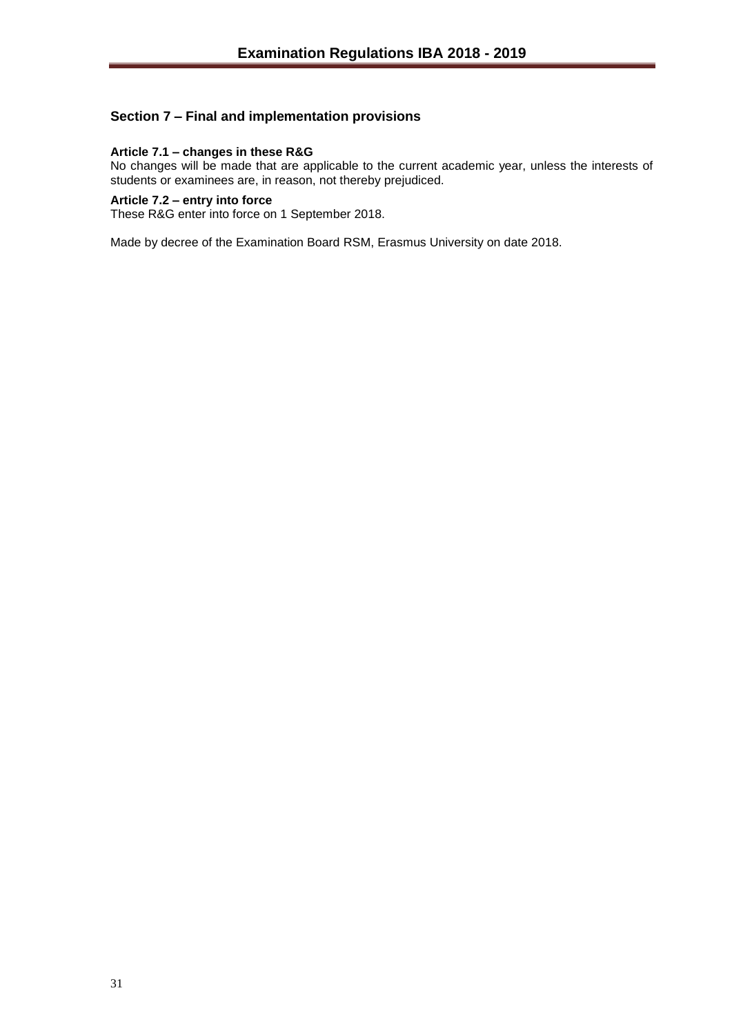## <span id="page-30-0"></span>**Section 7 – Final and implementation provisions**

## <span id="page-30-1"></span>**Article 7.1 – changes in these R&G**

No changes will be made that are applicable to the current academic year, unless the interests of students or examinees are, in reason, not thereby prejudiced.

## <span id="page-30-2"></span>**Article 7.2 – entry into force**

These R&G enter into force on 1 September 2018.

Made by decree of the Examination Board RSM, Erasmus University on date 2018.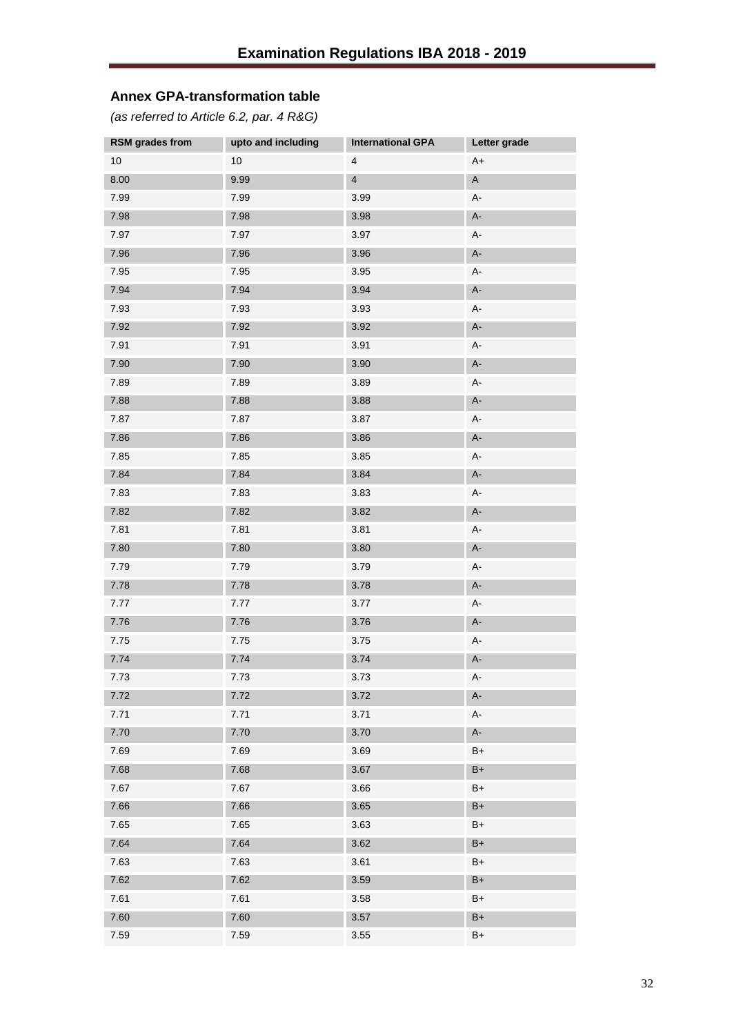# <span id="page-31-0"></span>**Annex GPA-transformation table**

<span id="page-31-1"></span>*(as referred to Article 6.2, par. 4 R&G)*

| <b>RSM</b> grades from | upto and including | <b>International GPA</b> | Letter grade |
|------------------------|--------------------|--------------------------|--------------|
| 10                     | 10                 | 4                        | $A+$         |
| $8.00\,$               | 9.99               | $\overline{\mathbf{4}}$  | $\mathsf A$  |
| 7.99                   | 7.99               | 3.99                     | A-           |
| 7.98                   | 7.98               | 3.98                     | $A-$         |
| 7.97                   | 7.97               | 3.97                     | А-           |
| 7.96                   | 7.96               | 3.96                     | $A-$         |
| 7.95                   | 7.95               | 3.95                     | $A-$         |
| 7.94                   | 7.94               | 3.94                     | $A-$         |
| 7.93                   | 7.93               | 3.93                     | А-           |
| 7.92                   | 7.92               | 3.92                     | $A-$         |
| 7.91                   | 7.91               | 3.91                     | $A-$         |
| 7.90                   | 7.90               | 3.90                     | $A-$         |
| 7.89                   | 7.89               | 3.89                     | А-           |
| 7.88                   | 7.88               | 3.88                     | $A-$         |
| 7.87                   | 7.87               | 3.87                     | A-           |
| 7.86                   | 7.86               | 3.86                     | $A-$         |
| 7.85                   | 7.85               | 3.85                     | А-           |
| 7.84                   | 7.84               | 3.84                     | $A-$         |
| 7.83                   | 7.83               | 3.83                     | A-           |
| 7.82                   | 7.82               | 3.82                     | $A-$         |
| 7.81                   | 7.81               | 3.81                     | А-           |
| 7.80                   | 7.80               | 3.80                     | $A-$         |
| 7.79                   | 7.79               | 3.79                     | A-           |
| 7.78                   | 7.78               | 3.78                     | $A-$         |
| 7.77                   | 7.77               | 3.77                     | A-           |
| 7.76                   | 7.76               | 3.76                     | $A-$         |
| 7.75                   | 7.75               | 3.75                     | A-           |
| 7.74                   | 7.74               | 3.74                     | $A-$         |
| 7.73                   | 7.73               | 3.73                     | A-           |
| 7.72                   | 7.72               | 3.72                     | $A-$         |
| 7.71                   | 7.71               | 3.71                     | A-           |
| 7.70                   | 7.70               | 3.70                     | $A-$         |
| 7.69                   | 7.69               | 3.69                     | $B+$         |
| 7.68                   | 7.68               | 3.67                     | $B+$         |
| 7.67                   | 7.67               | 3.66                     | $B+$         |
| 7.66                   | 7.66               | 3.65                     | $B+$         |
| 7.65                   | 7.65               | 3.63                     | $B+$         |
| 7.64                   | 7.64               | 3.62                     | $B+$         |
| 7.63                   | 7.63               | 3.61                     | $B+$         |
| 7.62                   | 7.62               | 3.59                     | $B+$         |
| 7.61                   | 7.61               | 3.58                     | $B+$         |
| 7.60                   | 7.60               | 3.57                     | $B+$         |
| 7.59                   | 7.59               | 3.55                     | $B+$         |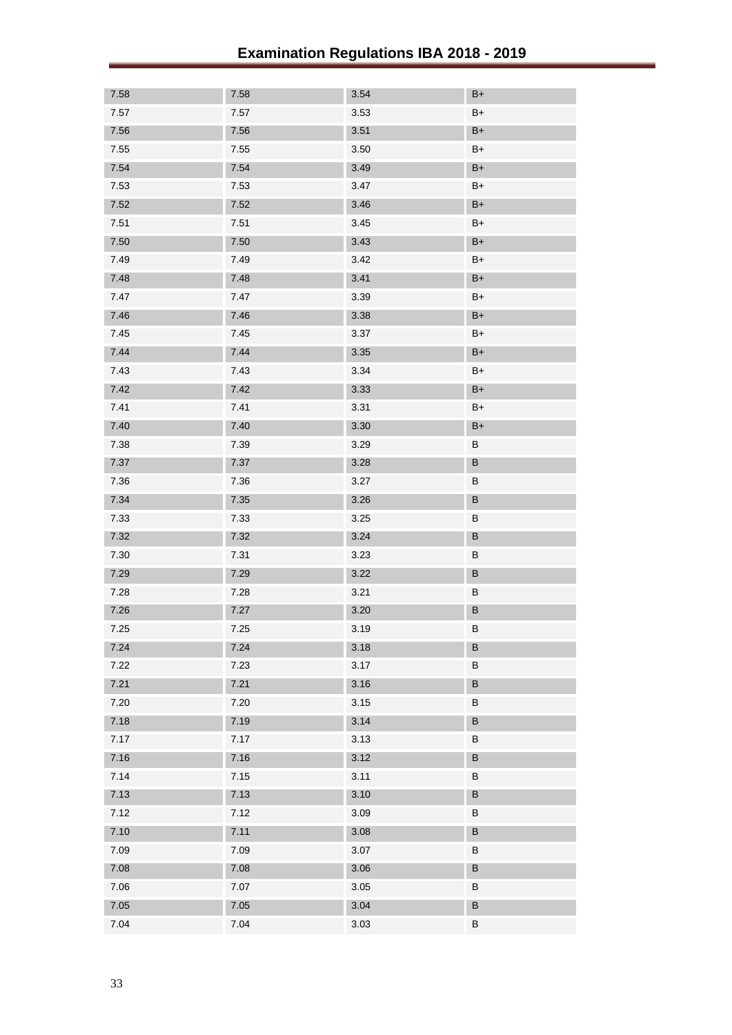| 7.58   | 7.58     | 3.54 | $B+$          |
|--------|----------|------|---------------|
| $7.57$ | $7.57\,$ | 3.53 | $B+$          |
| 7.56   | 7.56     | 3.51 | $\mathsf{B}+$ |
| 7.55   | 7.55     | 3.50 | $B+$          |
| 7.54   | 7.54     | 3.49 | $B+$          |
| 7.53   | 7.53     | 3.47 | $B+$          |
| 7.52   | 7.52     | 3.46 | $\mathsf{B}+$ |
| 7.51   | 7.51     | 3.45 | $B+$          |
| 7.50   | 7.50     | 3.43 | $B+$          |
| 7.49   | 7.49     | 3.42 | $B+$          |
| 7.48   | 7.48     | 3.41 | $B+$          |
| 7.47   | 7.47     | 3.39 | $B+$          |
| 7.46   | 7.46     | 3.38 | $B+$          |
| 7.45   | 7.45     | 3.37 | $B+$          |
| 7.44   | 7.44     | 3.35 | $B+$          |
| 7.43   | 7.43     | 3.34 | $B+$          |
| 7.42   | 7.42     | 3.33 | $B+$          |
| 7.41   | 7.41     | 3.31 | $B+$          |
| 7.40   | 7.40     | 3.30 | $B+$          |
| 7.38   | 7.39     | 3.29 | B             |
| 7.37   | 7.37     | 3.28 | B             |
| 7.36   | 7.36     | 3.27 | B             |
| 7.34   | 7.35     | 3.26 | $\sf B$       |
| 7.33   | 7.33     | 3.25 | B             |
| 7.32   | 7.32     | 3.24 | $\sf B$       |
| 7.30   | 7.31     | 3.23 | B             |
| 7.29   | 7.29     | 3.22 | $\sf B$       |
| 7.28   | 7.28     | 3.21 | B             |
| 7.26   | 7.27     | 3.20 | $\sf B$       |
| 7.25   | 7.25     | 3.19 | В             |
| 7.24   | 7.24     | 3.18 | B             |
| 7.22   | 7.23     | 3.17 | В             |
| 7.21   | 7.21     | 3.16 | B             |
| 7.20   | 7.20     | 3.15 | B             |
| 7.18   | 7.19     | 3.14 | B             |
| 7.17   | 7.17     | 3.13 | В             |
| 7.16   | 7.16     | 3.12 | B             |
| 7.14   | 7.15     | 3.11 | B             |
| 7.13   | 7.13     | 3.10 | B             |
| 7.12   | 7.12     | 3.09 | В             |
| 7.10   | 7.11     | 3.08 | B             |
| 7.09   | 7.09     | 3.07 | B             |
| 7.08   | 7.08     | 3.06 | $\sf B$       |
| 7.06   | 7.07     | 3.05 | B             |
| $7.05$ | 7.05     | 3.04 | $\sf B$       |
| 7.04   | 7.04     | 3.03 | B             |
|        |          |      |               |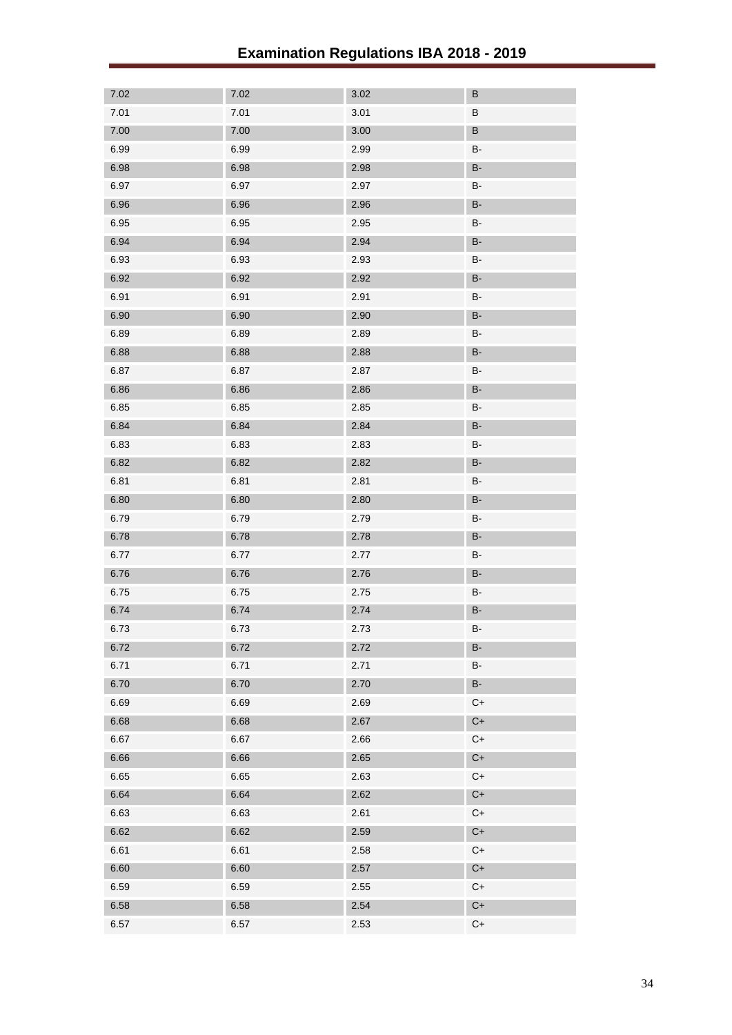| 7.02 | 7.02 | 3.02 | $\sf B$             |
|------|------|------|---------------------|
| 7.01 | 7.01 | 3.01 | В                   |
| 7.00 | 7.00 | 3.00 | $\sf B$             |
| 6.99 | 6.99 | 2.99 | B-                  |
| 6.98 | 6.98 | 2.98 | <b>B-</b>           |
| 6.97 | 6.97 | 2.97 | <b>B-</b>           |
| 6.96 | 6.96 | 2.96 | <b>B-</b>           |
| 6.95 | 6.95 | 2.95 | <b>B-</b>           |
| 6.94 | 6.94 | 2.94 | $\mathsf B\text{-}$ |
| 6.93 | 6.93 | 2.93 | B-                  |
| 6.92 | 6.92 | 2.92 | <b>B-</b>           |
| 6.91 | 6.91 | 2.91 | <b>B-</b>           |
| 6.90 | 6.90 | 2.90 | <b>B-</b>           |
| 6.89 | 6.89 | 2.89 | B-                  |
| 6.88 | 6.88 | 2.88 | <b>B-</b>           |
| 6.87 | 6.87 | 2.87 | <b>B-</b>           |
| 6.86 | 6.86 | 2.86 | <b>B-</b>           |
| 6.85 | 6.85 | 2.85 | B-                  |
| 6.84 | 6.84 | 2.84 | <b>B-</b>           |
| 6.83 | 6.83 | 2.83 | B-                  |
| 6.82 | 6.82 | 2.82 | <b>B-</b>           |
| 6.81 | 6.81 | 2.81 | B-                  |
| 6.80 | 6.80 | 2.80 | <b>B-</b>           |
| 6.79 | 6.79 | 2.79 | <b>B-</b>           |
| 6.78 | 6.78 | 2.78 | <b>B-</b>           |
| 6.77 | 6.77 | 2.77 | B-                  |
| 6.76 | 6.76 | 2.76 | <b>B-</b>           |
| 6.75 | 6.75 | 2.75 | B-                  |
| 6.74 | 6.74 | 2.74 | <b>B-</b>           |
| 6.73 | 6.73 | 2.73 | B-                  |
| 6.72 | 6.72 | 2.72 | <b>B-</b>           |
| 6.71 | 6.71 | 2.71 | $\mathsf B\text{-}$ |
| 6.70 | 6.70 | 2.70 | <b>B-</b>           |
| 6.69 | 6.69 | 2.69 | $C+$                |
| 6.68 | 6.68 | 2.67 | $C+$                |
| 6.67 | 6.67 | 2.66 | $C+$                |
| 6.66 | 6.66 | 2.65 | $C+$                |
| 6.65 | 6.65 | 2.63 | $C+$                |
| 6.64 | 6.64 | 2.62 | $C+$                |
| 6.63 | 6.63 | 2.61 | $C+$                |
| 6.62 | 6.62 | 2.59 | $C+$                |
| 6.61 | 6.61 | 2.58 | $C+$                |
| 6.60 | 6.60 | 2.57 | $C+$                |
| 6.59 | 6.59 | 2.55 | $C+$                |
| 6.58 | 6.58 | 2.54 | $C+$                |
| 6.57 | 6.57 | 2.53 | $C+$                |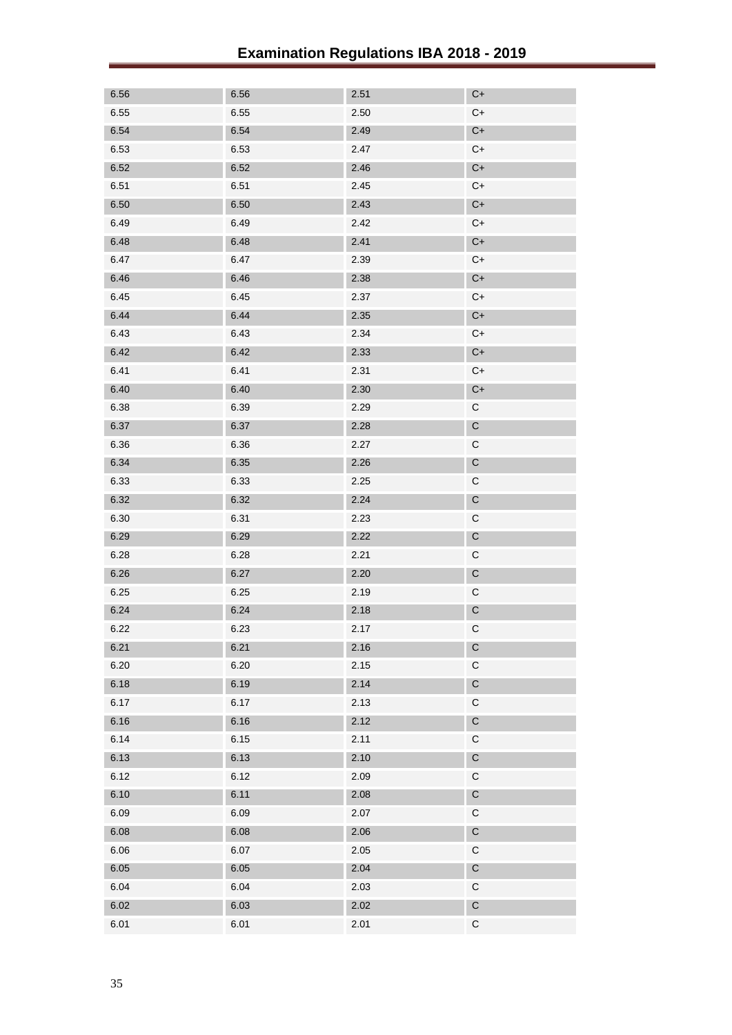| 6.56 | 6.56 | 2.51 | $C+$                   |
|------|------|------|------------------------|
| 6.55 | 6.55 | 2.50 | $C+$                   |
| 6.54 | 6.54 | 2.49 | $\mathsf{C}\texttt{+}$ |
| 6.53 | 6.53 | 2.47 | $C+$                   |
| 6.52 | 6.52 | 2.46 | $C+$                   |
| 6.51 | 6.51 | 2.45 | $C+$                   |
| 6.50 | 6.50 | 2.43 | $\mathsf{C}\texttt{+}$ |
| 6.49 | 6.49 | 2.42 | $C+$                   |
| 6.48 | 6.48 | 2.41 | $C+$                   |
| 6.47 | 6.47 | 2.39 | $C+$                   |
| 6.46 | 6.46 | 2.38 | $C+$                   |
| 6.45 | 6.45 | 2.37 | $C+$                   |
| 6.44 | 6.44 | 2.35 | $C+$                   |
| 6.43 | 6.43 | 2.34 | $C+$                   |
| 6.42 | 6.42 | 2.33 | $C+$                   |
| 6.41 | 6.41 | 2.31 | $C+$                   |
| 6.40 | 6.40 | 2.30 | $C+$                   |
| 6.38 | 6.39 | 2.29 | $\mathsf C$            |
| 6.37 | 6.37 | 2.28 | $\mathsf C$            |
| 6.36 | 6.36 | 2.27 | $\mathsf C$            |
| 6.34 | 6.35 | 2.26 | $\mathsf C$            |
| 6.33 | 6.33 | 2.25 | $\mathsf C$            |
| 6.32 | 6.32 | 2.24 | $\mathsf C$            |
| 6.30 | 6.31 | 2.23 | $\mathsf C$            |
| 6.29 | 6.29 | 2.22 | $\mathsf C$            |
| 6.28 | 6.28 | 2.21 | $\mathsf C$            |
| 6.26 | 6.27 | 2.20 | $\mathsf C$            |
| 6.25 | 6.25 | 2.19 | $\mathsf C$            |
| 6.24 | 6.24 | 2.18 | $\mathsf C$            |
| 6.22 | 6.23 | 2.17 | $\mathsf C$            |
| 6.21 | 6.21 | 2.16 | $\mathsf C$            |
| 6.20 | 6.20 | 2.15 | $\mathsf C$            |
| 6.18 | 6.19 | 2.14 | $\mathsf C$            |
| 6.17 | 6.17 | 2.13 | $\mathsf C$            |
| 6.16 | 6.16 | 2.12 | $\mathsf C$            |
| 6.14 | 6.15 | 2.11 | $\mathsf C$            |
| 6.13 | 6.13 | 2.10 | $\mathsf C$            |
| 6.12 | 6.12 | 2.09 | $\mathsf C$            |
| 6.10 | 6.11 | 2.08 | $\mathsf C$            |
| 6.09 | 6.09 | 2.07 | $\mathsf C$            |
| 6.08 | 6.08 | 2.06 | $\mathsf C$            |
| 6.06 | 6.07 | 2.05 | $\mathsf C$            |
| 6.05 | 6.05 | 2.04 | $\mathsf C$            |
| 6.04 | 6.04 | 2.03 | $\mathsf C$            |
| 6.02 | 6.03 | 2.02 | $\mathsf C$            |
| 6.01 | 6.01 | 2.01 | $\mathsf C$            |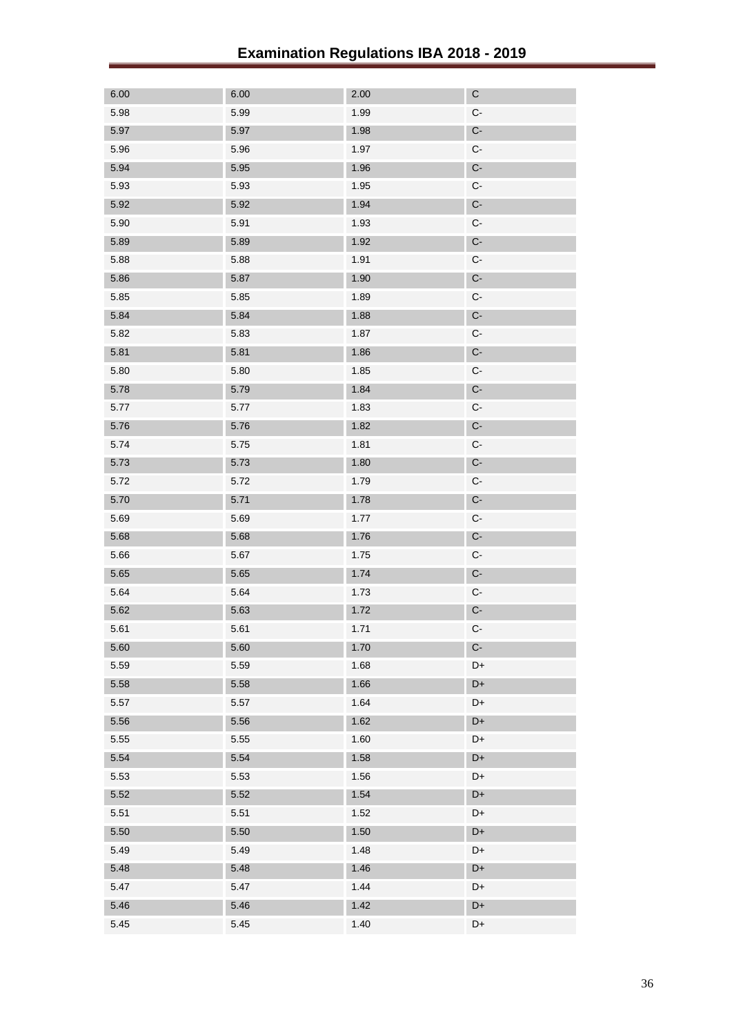| 6.00 | 6.00 | 2.00 | $\mathsf C$          |
|------|------|------|----------------------|
| 5.98 | 5.99 | 1.99 | $\mathsf{C}\text{-}$ |
| 5.97 | 5.97 | 1.98 | $\mathbb{C}\text{-}$ |
| 5.96 | 5.96 | 1.97 | C-                   |
| 5.94 | 5.95 | 1.96 | $C-$                 |
| 5.93 | 5.93 | 1.95 | $\mathsf{C}\text{-}$ |
| 5.92 | 5.92 | 1.94 | $C-$                 |
| 5.90 | 5.91 | 1.93 | C-                   |
| 5.89 | 5.89 | 1.92 | $C-$                 |
| 5.88 | 5.88 | 1.91 | $\mathsf{C}\text{-}$ |
| 5.86 | 5.87 | 1.90 | $C-$                 |
| 5.85 | 5.85 | 1.89 | C-                   |
| 5.84 | 5.84 | 1.88 | $C-$                 |
| 5.82 | 5.83 | 1.87 | $\mathsf{C}\text{-}$ |
| 5.81 | 5.81 | 1.86 | $\mathsf{C}\text{-}$ |
| 5.80 | 5.80 | 1.85 | $\mathsf{C}\text{-}$ |
| 5.78 | 5.79 | 1.84 | $C-$                 |
| 5.77 | 5.77 | 1.83 | $\mathsf{C}\text{-}$ |
| 5.76 | 5.76 | 1.82 | $\mathsf{C}\text{-}$ |
| 5.74 | 5.75 | 1.81 | $\mathsf{C}\text{-}$ |
| 5.73 | 5.73 | 1.80 | $C-$                 |
| 5.72 | 5.72 | 1.79 | $\mathsf{C}\text{-}$ |
| 5.70 | 5.71 | 1.78 | $\mathsf{C}\text{-}$ |
| 5.69 | 5.69 | 1.77 | $\mathsf{C}\text{-}$ |
| 5.68 | 5.68 | 1.76 | $C-$                 |
| 5.66 | 5.67 | 1.75 | $\mathsf{C}\text{-}$ |
| 5.65 | 5.65 | 1.74 | $\mathsf{C}\text{-}$ |
| 5.64 | 5.64 | 1.73 | $\mathsf{C}\text{-}$ |
| 5.62 | 5.63 | 1.72 | $C-$                 |
| 5.61 | 5.61 | 1.71 | $\mathsf{C}\text{-}$ |
| 5.60 | 5.60 | 1.70 | $\mathbb{C}\text{-}$ |
| 5.59 | 5.59 | 1.68 | D+                   |
| 5.58 | 5.58 | 1.66 | D+                   |
| 5.57 | 5.57 | 1.64 | D+                   |
| 5.56 | 5.56 | 1.62 | D+                   |
| 5.55 | 5.55 | 1.60 | D+                   |
| 5.54 | 5.54 | 1.58 | D+                   |
| 5.53 | 5.53 | 1.56 | D+                   |
| 5.52 | 5.52 | 1.54 | D+                   |
| 5.51 | 5.51 | 1.52 | D+                   |
| 5.50 | 5.50 | 1.50 | D+                   |
| 5.49 | 5.49 | 1.48 | D+                   |
| 5.48 | 5.48 | 1.46 | D+                   |
| 5.47 | 5.47 | 1.44 | D+                   |
| 5.46 | 5.46 | 1.42 | D+                   |
| 5.45 | 5.45 | 1.40 | D+                   |